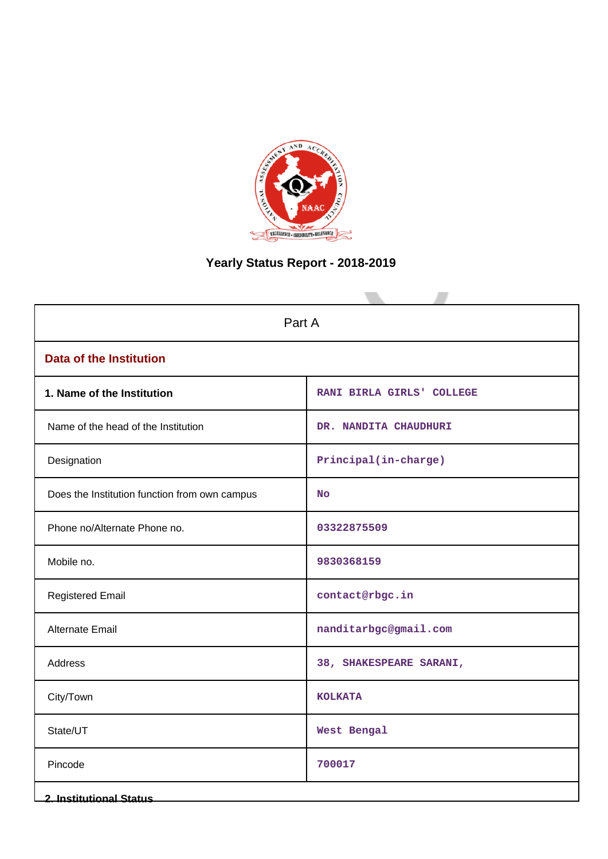

# **Yearly Status Report - 2018-2019**

| Part A                                        |                           |  |  |
|-----------------------------------------------|---------------------------|--|--|
| <b>Data of the Institution</b>                |                           |  |  |
| 1. Name of the Institution                    | RANI BIRLA GIRLS' COLLEGE |  |  |
| Name of the head of the Institution           | DR. NANDITA CHAUDHURI     |  |  |
| Designation                                   | Principal(in-charge)      |  |  |
| Does the Institution function from own campus | <b>No</b>                 |  |  |
| Phone no/Alternate Phone no.                  | 03322875509               |  |  |
| Mobile no.                                    | 9830368159                |  |  |
| <b>Registered Email</b>                       | contact@rbgc.in           |  |  |
| Alternate Email                               | nanditarbgc@gmail.com     |  |  |
| Address                                       | 38, SHAKESPEARE SARANI,   |  |  |
| City/Town                                     | <b>KOLKATA</b>            |  |  |
| State/UT                                      | West Bengal               |  |  |
| Pincode                                       | 700017                    |  |  |
| <b>2. Institutional Status</b>                |                           |  |  |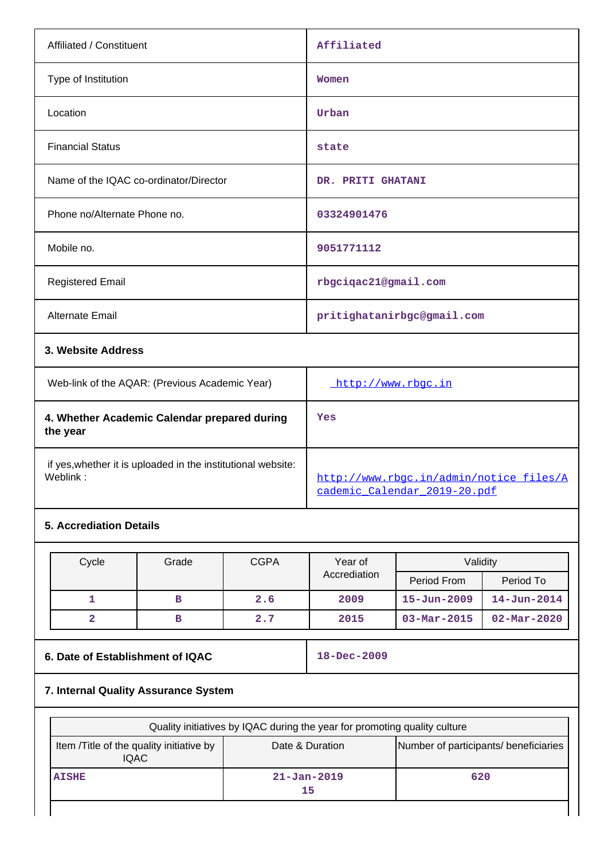| Affiliated / Constituent                                                 |                                                |                            | Affiliated                                                              |                          |                          |
|--------------------------------------------------------------------------|------------------------------------------------|----------------------------|-------------------------------------------------------------------------|--------------------------|--------------------------|
| Type of Institution                                                      |                                                |                            | Women                                                                   |                          |                          |
| Location                                                                 |                                                |                            | Urban                                                                   |                          |                          |
| <b>Financial Status</b>                                                  |                                                |                            | state                                                                   |                          |                          |
| Name of the IQAC co-ordinator/Director                                   |                                                |                            | DR. PRITI GHATANI                                                       |                          |                          |
| Phone no/Alternate Phone no.                                             |                                                |                            | 03324901476                                                             |                          |                          |
| Mobile no.                                                               |                                                | 9051771112                 |                                                                         |                          |                          |
| <b>Registered Email</b>                                                  |                                                | rbgciqac21@gmail.com       |                                                                         |                          |                          |
| Alternate Email                                                          |                                                | pritighatanirbgc@gmail.com |                                                                         |                          |                          |
| 3. Website Address                                                       |                                                |                            |                                                                         |                          |                          |
|                                                                          | Web-link of the AQAR: (Previous Academic Year) |                            |                                                                         | http://www.rbgc.in       |                          |
| 4. Whether Academic Calendar prepared during<br>the year                 |                                                |                            | Yes                                                                     |                          |                          |
| if yes, whether it is uploaded in the institutional website:<br>Weblink: |                                                |                            | http://www.rbgc.in/admin/notice files/A<br>cademic Calendar 2019-20.pdf |                          |                          |
| <b>5. Accrediation Details</b>                                           |                                                |                            |                                                                         |                          |                          |
| Cycle                                                                    | Grade                                          | <b>CGPA</b>                | Year of                                                                 | Validity                 |                          |
|                                                                          |                                                |                            | Accrediation                                                            | Period From              | Period To                |
| $\mathbf{1}$                                                             | в                                              | 2.6                        | 2009                                                                    | $15 - Jun - 2009$        | $14 - Jun - 2014$        |
| $\overline{\mathbf{2}}$                                                  | в                                              | 2.7                        | 2015                                                                    | $03 - \text{Mar} - 2015$ | $02 - \text{Mar} - 2020$ |

# **6. Date of Establishment of IQAC** 18-Dec-2009

# **7. Internal Quality Assurance System**

| Quality initiatives by IQAC during the year for promoting quality culture                                           |                         |     |  |  |  |
|---------------------------------------------------------------------------------------------------------------------|-------------------------|-----|--|--|--|
| Number of participants/ beneficiaries<br>Item /Title of the quality initiative by<br>Date & Duration<br><b>IQAC</b> |                         |     |  |  |  |
| <b>AISHE</b>                                                                                                        | $21 - Jan - 2019$<br>15 | 620 |  |  |  |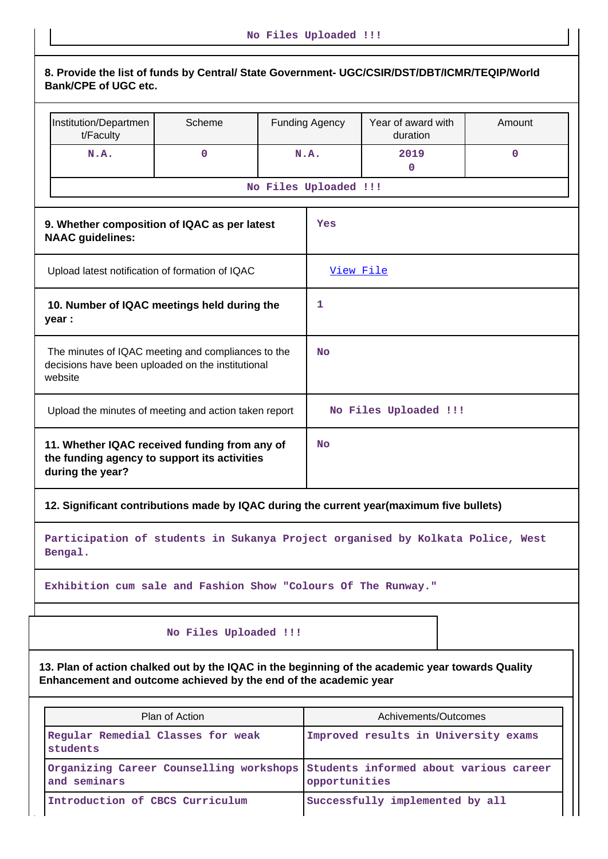| 8. Provide the list of funds by Central/ State Government- UGC/CSIR/DST/DBT/ICMR/TEQIP/World<br><b>Bank/CPE of UGC etc.</b>                                          |                       |                       |                                        |             |
|----------------------------------------------------------------------------------------------------------------------------------------------------------------------|-----------------------|-----------------------|----------------------------------------|-------------|
| Institution/Departmen<br>t/Faculty                                                                                                                                   | Scheme                | <b>Funding Agency</b> | Year of award with<br>duration         | Amount      |
| N.A.                                                                                                                                                                 | $\mathbf 0$           | N.A.                  | 2019<br>$\mathbf 0$                    | $\mathbf 0$ |
|                                                                                                                                                                      |                       | No Files Uploaded !!! |                                        |             |
| 9. Whether composition of IQAC as per latest<br><b>NAAC</b> guidelines:                                                                                              |                       | Yes                   |                                        |             |
| Upload latest notification of formation of IQAC                                                                                                                      |                       | View File             |                                        |             |
| 10. Number of IQAC meetings held during the<br>year :                                                                                                                |                       | 1                     |                                        |             |
| The minutes of IQAC meeting and compliances to the<br>decisions have been uploaded on the institutional<br>website                                                   |                       | <b>No</b>             |                                        |             |
| Upload the minutes of meeting and action taken report                                                                                                                |                       |                       | No Files Uploaded !!!                  |             |
| 11. Whether IQAC received funding from any of<br>the funding agency to support its activities<br>during the year?                                                    |                       | <b>No</b>             |                                        |             |
| 12. Significant contributions made by IQAC during the current year(maximum five bullets)                                                                             |                       |                       |                                        |             |
| Participation of students in Sukanya Project organised by Kolkata Police, West<br>Bengal.                                                                            |                       |                       |                                        |             |
| Exhibition cum sale and Fashion Show "Colours Of The Runway."                                                                                                        |                       |                       |                                        |             |
|                                                                                                                                                                      | No Files Uploaded !!! |                       |                                        |             |
| 13. Plan of action chalked out by the IQAC in the beginning of the academic year towards Quality<br>Enhancement and outcome achieved by the end of the academic year |                       |                       |                                        |             |
|                                                                                                                                                                      | Plan of Action        |                       | Achivements/Outcomes                   |             |
| Regular Remedial Classes for weak<br>students                                                                                                                        |                       |                       | Improved results in University exams   |             |
| Organizing Career Counselling workshops<br>and seminars                                                                                                              |                       | opportunities         | Students informed about various career |             |

Introduction of CBCS Curriculum **Successfully implemented by all**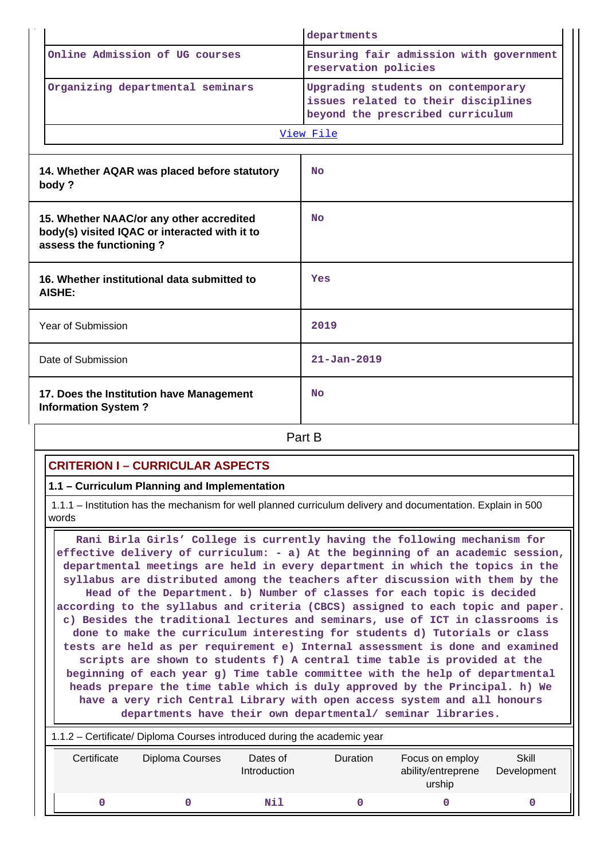|                                                                                                                      |                                                                        | departments                                                                                                   |
|----------------------------------------------------------------------------------------------------------------------|------------------------------------------------------------------------|---------------------------------------------------------------------------------------------------------------|
|                                                                                                                      | Online Admission of UG courses                                         | Ensuring fair admission with government<br>reservation policies                                               |
| Organizing departmental seminars                                                                                     |                                                                        | Upgrading students on contemporary<br>issues related to their disciplines<br>beyond the prescribed curriculum |
|                                                                                                                      |                                                                        | View File                                                                                                     |
|                                                                                                                      | 14. Whether AQAR was placed before statutory<br>body?                  | <b>No</b>                                                                                                     |
| 15. Whether NAAC/or any other accredited<br>body(s) visited IQAC or interacted with it to<br>assess the functioning? |                                                                        | <b>No</b>                                                                                                     |
|                                                                                                                      | 16. Whether institutional data submitted to<br><b>AISHE:</b>           | Yes                                                                                                           |
|                                                                                                                      | Year of Submission                                                     | 2019                                                                                                          |
|                                                                                                                      | Date of Submission                                                     | $21 - Jan - 2019$                                                                                             |
|                                                                                                                      | 17. Does the Institution have Management<br><b>Information System?</b> | <b>No</b>                                                                                                     |
|                                                                                                                      |                                                                        | Part B                                                                                                        |

# **CRITERION I – CURRICULAR ASPECTS**

### **1.1 – Curriculum Planning and Implementation**

 1.1.1 – Institution has the mechanism for well planned curriculum delivery and documentation. Explain in 500 words

 **Rani Birla Girls' College is currently having the following mechanism for effective delivery of curriculum: - a) At the beginning of an academic session, departmental meetings are held in every department in which the topics in the syllabus are distributed among the teachers after discussion with them by the Head of the Department. b) Number of classes for each topic is decided according to the syllabus and criteria (CBCS) assigned to each topic and paper. c) Besides the traditional lectures and seminars, use of ICT in classrooms is done to make the curriculum interesting for students d) Tutorials or class tests are held as per requirement e) Internal assessment is done and examined scripts are shown to students f) A central time table is provided at the beginning of each year g) Time table committee with the help of departmental heads prepare the time table which is duly approved by the Principal. h) We have a very rich Central Library with open access system and all honours departments have their own departmental/ seminar libraries.**

| 1.1.2 – Certificate/ Diploma Courses introduced during the academic year |                 |                          |                 |                                                 |                      |
|--------------------------------------------------------------------------|-----------------|--------------------------|-----------------|-------------------------------------------------|----------------------|
| Certificate                                                              | Diploma Courses | Dates of<br>Introduction | <b>Duration</b> | Focus on employ<br>ability/entreprene<br>urship | Skill<br>Development |
|                                                                          |                 | Nil                      |                 |                                                 |                      |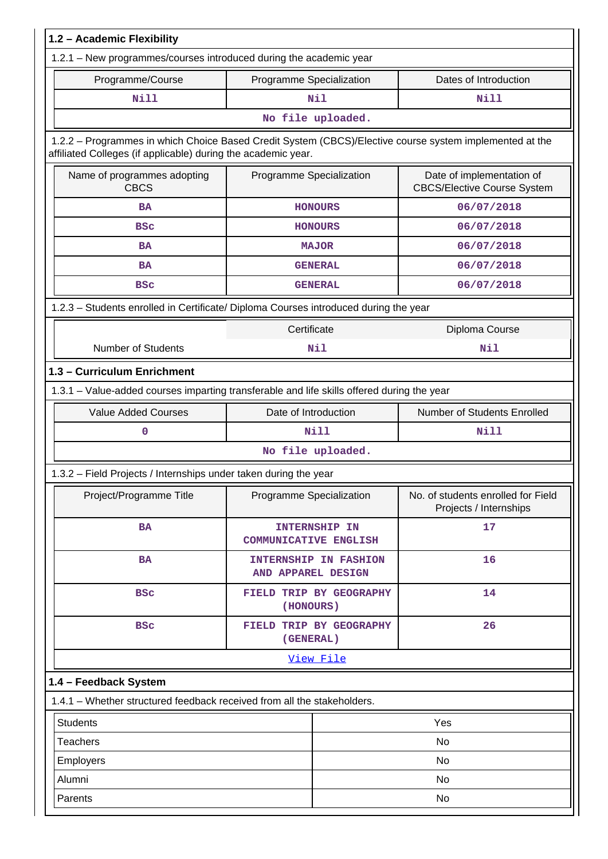| 1.2 - Academic Flexibility                                                                                                                                               |                              |                                                     |                                                                 |
|--------------------------------------------------------------------------------------------------------------------------------------------------------------------------|------------------------------|-----------------------------------------------------|-----------------------------------------------------------------|
| 1.2.1 - New programmes/courses introduced during the academic year                                                                                                       |                              |                                                     |                                                                 |
| Programme/Course                                                                                                                                                         | Programme Specialization     |                                                     | Dates of Introduction                                           |
| Nill                                                                                                                                                                     |                              | Nil                                                 | <b>Nill</b>                                                     |
|                                                                                                                                                                          |                              | No file uploaded.                                   |                                                                 |
| 1.2.2 - Programmes in which Choice Based Credit System (CBCS)/Elective course system implemented at the<br>affiliated Colleges (if applicable) during the academic year. |                              |                                                     |                                                                 |
| Name of programmes adopting<br><b>CBCS</b>                                                                                                                               | Programme Specialization     |                                                     | Date of implementation of<br><b>CBCS/Elective Course System</b> |
| <b>BA</b>                                                                                                                                                                |                              | <b>HONOURS</b>                                      | 06/07/2018                                                      |
| <b>BSC</b>                                                                                                                                                               |                              | <b>HONOURS</b>                                      | 06/07/2018                                                      |
| <b>BA</b>                                                                                                                                                                |                              | <b>MAJOR</b>                                        | 06/07/2018                                                      |
| <b>BA</b>                                                                                                                                                                |                              | <b>GENERAL</b>                                      | 06/07/2018                                                      |
| <b>BSC</b>                                                                                                                                                               |                              | <b>GENERAL</b>                                      | 06/07/2018                                                      |
| 1.2.3 - Students enrolled in Certificate/ Diploma Courses introduced during the year                                                                                     |                              |                                                     |                                                                 |
|                                                                                                                                                                          | Certificate                  |                                                     | Diploma Course                                                  |
| <b>Number of Students</b>                                                                                                                                                | Nil                          |                                                     | Nil                                                             |
| 1.3 - Curriculum Enrichment                                                                                                                                              |                              |                                                     |                                                                 |
| 1.3.1 - Value-added courses imparting transferable and life skills offered during the year                                                                               |                              |                                                     |                                                                 |
| <b>Value Added Courses</b>                                                                                                                                               |                              | Number of Students Enrolled<br>Date of Introduction |                                                                 |
| 0                                                                                                                                                                        | <b>Nill</b>                  |                                                     | Nill                                                            |
|                                                                                                                                                                          |                              | No file uploaded.                                   |                                                                 |
| 1.3.2 - Field Projects / Internships under taken during the year                                                                                                         |                              |                                                     |                                                                 |
| Project/Programme Title                                                                                                                                                  | Programme Specialization     |                                                     | No. of students enrolled for Field<br>Projects / Internships    |
| <b>BA</b>                                                                                                                                                                | <b>COMMUNICATIVE ENGLISH</b> | <b>INTERNSHIP IN</b>                                | 17                                                              |
| <b>BA</b>                                                                                                                                                                | AND APPAREL DESIGN           | <b>INTERNSHIP IN FASHION</b>                        | 16                                                              |
| <b>BSC</b>                                                                                                                                                               | (HONOURS)                    | FIELD TRIP BY GEOGRAPHY                             | 14                                                              |
| <b>BSC</b>                                                                                                                                                               | (GENERAL)                    | FIELD TRIP BY GEOGRAPHY                             | 26                                                              |
|                                                                                                                                                                          |                              | View File                                           |                                                                 |
| 1.4 - Feedback System                                                                                                                                                    |                              |                                                     |                                                                 |
| 1.4.1 - Whether structured feedback received from all the stakeholders.                                                                                                  |                              |                                                     |                                                                 |
| <b>Students</b>                                                                                                                                                          |                              |                                                     | Yes                                                             |
| <b>Teachers</b>                                                                                                                                                          |                              |                                                     | No                                                              |
| Employers                                                                                                                                                                |                              |                                                     | No                                                              |
| Alumni                                                                                                                                                                   |                              |                                                     | No                                                              |
| Parents                                                                                                                                                                  |                              |                                                     | No                                                              |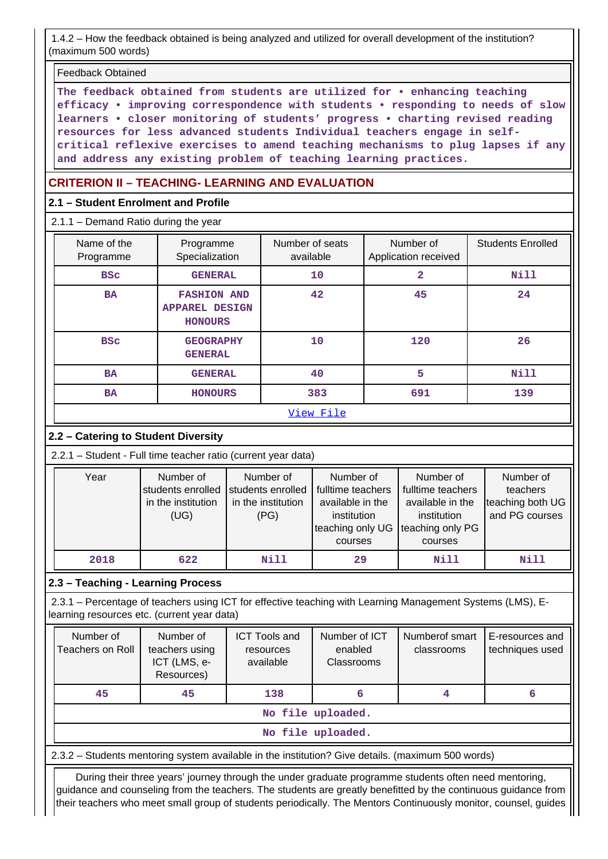1.4.2 – How the feedback obtained is being analyzed and utilized for overall development of the institution? (maximum 500 words)

Feedback Obtained

**The feedback obtained from students are utilized for • enhancing teaching efficacy • improving correspondence with students • responding to needs of slow learners • closer monitoring of students' progress • charting revised reading resources for less advanced students Individual teachers engage in selfcritical reflexive exercises to amend teaching mechanisms to plug lapses if any and address any existing problem of teaching learning practices.**

# **CRITERION II – TEACHING- LEARNING AND EVALUATION**

# **2.1 – Student Enrolment and Profile**

2.1.1 – Demand Ratio during the year

| Name of the<br>Programme | Programme<br>Specialization                                   | Number of seats<br>available | Number of<br>Application received | <b>Students Enrolled</b> |
|--------------------------|---------------------------------------------------------------|------------------------------|-----------------------------------|--------------------------|
| <b>BSC</b>               | <b>GENERAL</b>                                                | 10                           | 2                                 | <b>Nill</b>              |
| <b>BA</b>                | <b>FASHION AND</b><br><b>APPAREL DESIGN</b><br><b>HONOURS</b> | 42                           | 45                                | 24                       |
| <b>BSC</b>               | <b>GEOGRAPHY</b><br><b>GENERAL</b>                            | 10                           | 120                               | 26                       |
| <b>BA</b>                | <b>GENERAL</b>                                                | 40                           | 5                                 | <b>Nill</b>              |
| <b>BA</b>                | <b>HONOURS</b>                                                | 383                          | 691                               | 139                      |
|                          |                                                               | View File                    |                                   |                          |

# **2.2 – Catering to Student Diversity**

2.2.1 – Student - Full time teacher ratio (current year data)

| Year | Number of          | Number of          | Number of                          | Number of         | Number of        |
|------|--------------------|--------------------|------------------------------------|-------------------|------------------|
|      | students enrolled  | students enrolled  | fulltime teachers                  | fulltime teachers | teachers         |
|      | in the institution | in the institution | available in the                   | available in the  | teaching both UG |
|      | (UG)               | (PG)               | institution                        | institution       | and PG courses   |
|      |                    |                    | teaching only UG Iteaching only PG |                   |                  |
|      |                    |                    | courses                            | courses           |                  |
| 2018 | 622                | Nill               | 29                                 | Nill              | Nill             |

# **2.3 – Teaching - Learning Process**

 2.3.1 – Percentage of teachers using ICT for effective teaching with Learning Management Systems (LMS), Elearning resources etc. (current year data)

| Number of<br>Teachers on Roll | Number of<br>teachers using<br>ICT (LMS, e-<br>Resources) | <b>ICT Tools and</b><br>resources<br>available | Number of ICT<br>enabled<br><b>Classrooms</b> | Numberof smart<br>classrooms | E-resources and<br>techniques used |  |
|-------------------------------|-----------------------------------------------------------|------------------------------------------------|-----------------------------------------------|------------------------------|------------------------------------|--|
| 45                            | 45                                                        | 138                                            | 6                                             |                              |                                    |  |
|                               |                                                           |                                                | No file uploaded.                             |                              |                                    |  |
|                               | No file uploaded.                                         |                                                |                                               |                              |                                    |  |

2.3.2 – Students mentoring system available in the institution? Give details. (maximum 500 words)

 During their three years' journey through the under graduate programme students often need mentoring, guidance and counseling from the teachers. The students are greatly benefitted by the continuous guidance from their teachers who meet small group of students periodically. The Mentors Continuously monitor, counsel, guides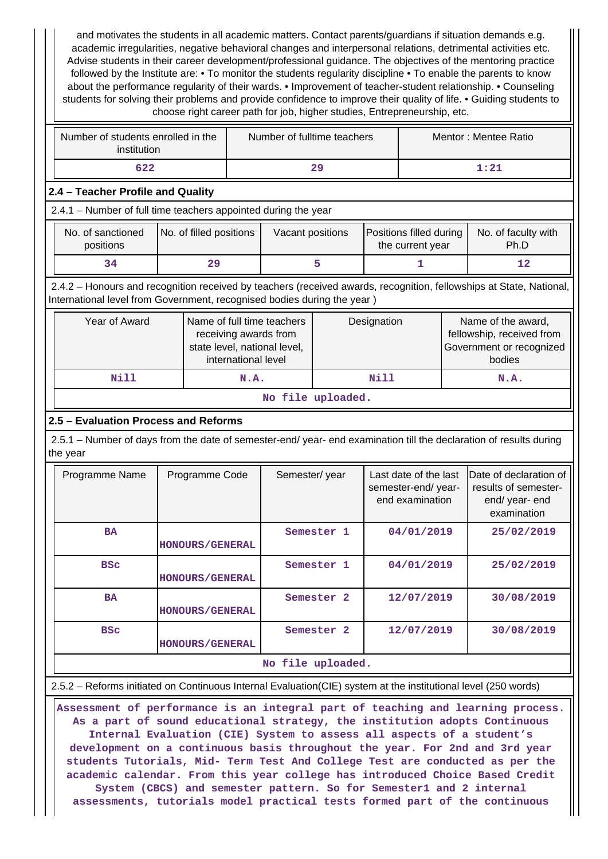and motivates the students in all academic matters. Contact parents/guardians if situation demands e.g. academic irregularities, negative behavioral changes and interpersonal relations, detrimental activities etc. Advise students in their career development/professional guidance. The objectives of the mentoring practice followed by the Institute are: • To monitor the students regularity discipline • To enable the parents to know about the performance regularity of their wards. • Improvement of teacher-student relationship. • Counseling students for solving their problems and provide confidence to improve their quality of life. • Guiding students to choose right career path for job, higher studies, Entrepreneurship, etc.

| Number of students enrolled in the<br>institution | Number of fulltime teachers | Mentor: Mentee Ratio |
|---------------------------------------------------|-----------------------------|----------------------|
| 622                                               | 29                          | 1:21                 |

#### **2.4 – Teacher Profile and Quality**

2.4.1 – Number of full time teachers appointed during the year

| No. of sanctioned<br>positions | No. of filled positions | Vacant positions | Positions filled during<br>the current year | No. of faculty with<br>Ph.D |
|--------------------------------|-------------------------|------------------|---------------------------------------------|-----------------------------|
| 34                             | 29                      |                  |                                             |                             |

 2.4.2 – Honours and recognition received by teachers (received awards, recognition, fellowships at State, National, International level from Government, recognised bodies during the year )

| Year of Award     | Name of full time teachers<br>receiving awards from<br>state level, national level,<br>international level | Designation | Name of the award,<br>fellowship, received from<br>Government or recognized<br>bodies |  |  |
|-------------------|------------------------------------------------------------------------------------------------------------|-------------|---------------------------------------------------------------------------------------|--|--|
| Nill              | N.A.                                                                                                       | Nill        | N.A.                                                                                  |  |  |
| No file uploaded. |                                                                                                            |             |                                                                                       |  |  |

#### **2.5 – Evaluation Process and Reforms**

 2.5.1 – Number of days from the date of semester-end/ year- end examination till the declaration of results during the year

| Programme Name | Programme Code         | Semester/year         | Last date of the last<br>semester-end/year-<br>end examination | <b>IDate of declaration of</b><br>results of semester-<br>end/year-end<br>examination |
|----------------|------------------------|-----------------------|----------------------------------------------------------------|---------------------------------------------------------------------------------------|
| <b>BA</b>      | <b>HONOURS/GENERAL</b> | Semester 1            | 04/01/2019                                                     | 25/02/2019                                                                            |
| <b>BSC</b>     | <b>HONOURS/GENERAL</b> | Semester 1            | 04/01/2019                                                     | 25/02/2019                                                                            |
| <b>BA</b>      | <b>HONOURS/GENERAL</b> | Semester <sub>2</sub> | 12/07/2019                                                     | 30/08/2019                                                                            |
| <b>BSC</b>     | <b>HONOURS/GENERAL</b> | Semester <sub>2</sub> | 12/07/2019                                                     | 30/08/2019                                                                            |
|                |                        | No file uploaded.     |                                                                |                                                                                       |

#### 2.5.2 – Reforms initiated on Continuous Internal Evaluation(CIE) system at the institutional level (250 words)

 **Assessment of performance is an integral part of teaching and learning process. As a part of sound educational strategy, the institution adopts Continuous Internal Evaluation (CIE) System to assess all aspects of a student's development on a continuous basis throughout the year. For 2nd and 3rd year students Tutorials, Mid- Term Test And College Test are conducted as per the academic calendar. From this year college has introduced Choice Based Credit System (CBCS) and semester pattern. So for Semester1 and 2 internal assessments, tutorials model practical tests formed part of the continuous**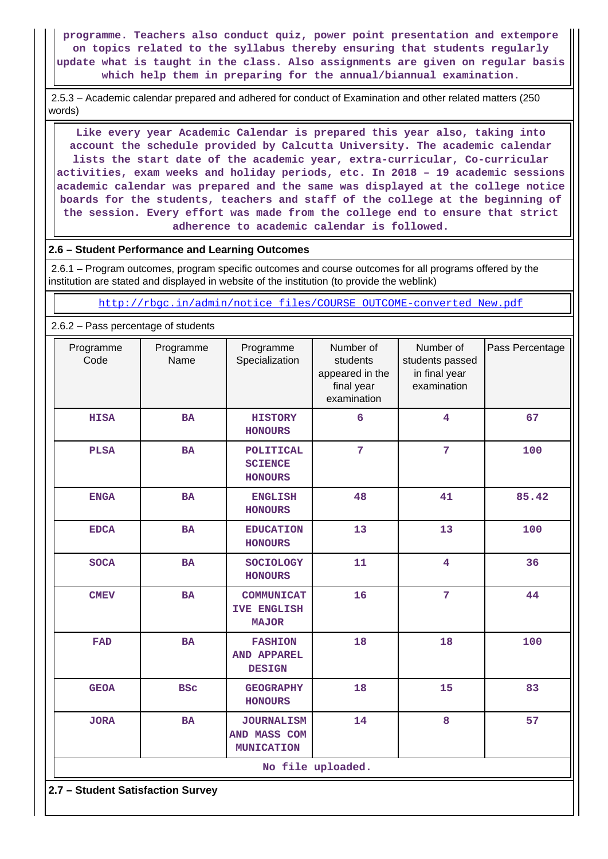**programme. Teachers also conduct quiz, power point presentation and extempore on topics related to the syllabus thereby ensuring that students regularly update what is taught in the class. Also assignments are given on regular basis which help them in preparing for the annual/biannual examination.**

 2.5.3 – Academic calendar prepared and adhered for conduct of Examination and other related matters (250 words)

 **Like every year Academic Calendar is prepared this year also, taking into account the schedule provided by Calcutta University. The academic calendar lists the start date of the academic year, extra-curricular, Co-curricular activities, exam weeks and holiday periods, etc. In 2018 – 19 academic sessions academic calendar was prepared and the same was displayed at the college notice boards for the students, teachers and staff of the college at the beginning of the session. Every effort was made from the college end to ensure that strict adherence to academic calendar is followed.**

#### **2.6 – Student Performance and Learning Outcomes**

 2.6.1 – Program outcomes, program specific outcomes and course outcomes for all programs offered by the institution are stated and displayed in website of the institution (to provide the weblink)

[http://rbgc.in/admin/notice\\_files/COURSE\\_OUTCOME-converted\\_New.pdf](http://rbgc.in/admin/notice_files/COURSE_OUTCOME-converted_New.pdf)

2.6.2 – Pass percentage of students

| Programme<br>Code | Programme<br>Name                 | Programme<br>Specialization                             | Number of<br>students<br>appeared in the<br>final year<br>examination | Number of<br>students passed<br>in final year<br>examination | Pass Percentage |  |  |
|-------------------|-----------------------------------|---------------------------------------------------------|-----------------------------------------------------------------------|--------------------------------------------------------------|-----------------|--|--|
| <b>HISA</b>       | <b>BA</b>                         | <b>HISTORY</b><br><b>HONOURS</b>                        | $6\overline{6}$                                                       | $\overline{\mathbf{4}}$                                      | 67              |  |  |
| <b>PLSA</b>       | <b>BA</b>                         | POLITICAL<br><b>SCIENCE</b><br><b>HONOURS</b>           | $\overline{7}$                                                        | $\overline{7}$                                               | 100             |  |  |
| <b>ENGA</b>       | BA                                | <b>ENGLISH</b><br><b>HONOURS</b>                        | 48                                                                    | 41                                                           | 85.42           |  |  |
| <b>EDCA</b>       | <b>BA</b>                         | <b>EDUCATION</b><br><b>HONOURS</b>                      | 13                                                                    | 13                                                           | 100             |  |  |
| <b>SOCA</b>       | <b>BA</b>                         | <b>SOCIOLOGY</b><br><b>HONOURS</b>                      | 11                                                                    | $\overline{\mathbf{4}}$                                      | 36              |  |  |
| <b>CMEV</b>       | <b>BA</b>                         | <b>COMMUNICAT</b><br><b>IVE ENGLISH</b><br><b>MAJOR</b> | 16                                                                    | $\overline{7}$                                               | 44              |  |  |
| <b>FAD</b>        | <b>BA</b>                         | <b>FASHION</b><br>AND APPAREL<br><b>DESIGN</b>          | 18                                                                    | 18                                                           | 100             |  |  |
| <b>GEOA</b>       | <b>BSC</b>                        | <b>GEOGRAPHY</b><br><b>HONOURS</b>                      | 18                                                                    | 15                                                           | 83              |  |  |
| <b>JORA</b>       | <b>BA</b>                         | <b>JOURNALISM</b><br>AND MASS COM<br><b>MUNICATION</b>  | 14                                                                    | 8                                                            | 57              |  |  |
|                   |                                   |                                                         | No file uploaded.                                                     |                                                              |                 |  |  |
|                   | 2.7 - Student Satisfaction Survey |                                                         |                                                                       |                                                              |                 |  |  |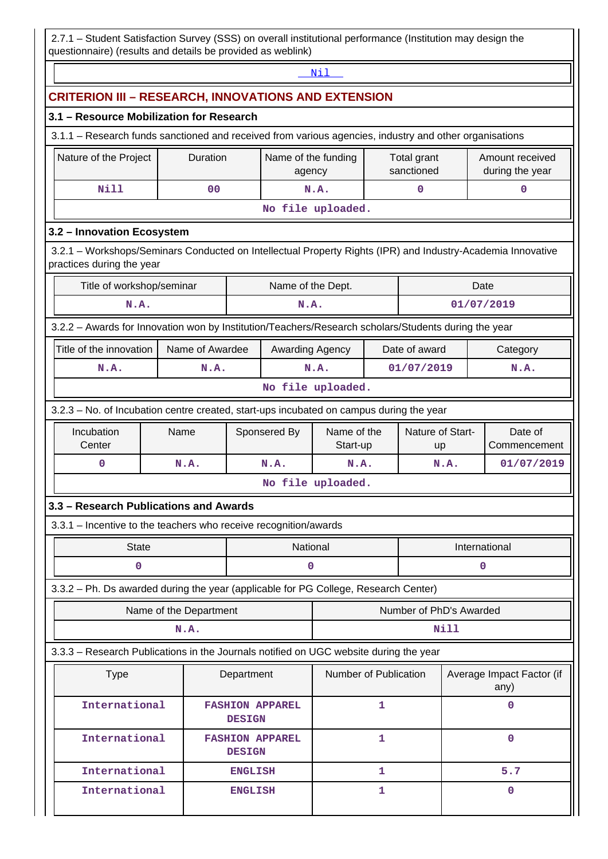2.7.1 – Student Satisfaction Survey (SSS) on overall institutional performance (Institution may design the questionnaire) (results and details be provided as weblink)

|                                                                                                                                          | Nil                                                        |                                                 |                |                        |                               |                           |               |                         |                                    |
|------------------------------------------------------------------------------------------------------------------------------------------|------------------------------------------------------------|-------------------------------------------------|----------------|------------------------|-------------------------------|---------------------------|---------------|-------------------------|------------------------------------|
|                                                                                                                                          | <b>CRITERION III - RESEARCH, INNOVATIONS AND EXTENSION</b> |                                                 |                |                        |                               |                           |               |                         |                                    |
| 3.1 - Resource Mobilization for Research                                                                                                 |                                                            |                                                 |                |                        |                               |                           |               |                         |                                    |
| 3.1.1 - Research funds sanctioned and received from various agencies, industry and other organisations                                   |                                                            |                                                 |                |                        |                               |                           |               |                         |                                    |
| Nature of the Project                                                                                                                    |                                                            | Duration                                        |                |                        | Name of the funding<br>agency | Total grant<br>sanctioned |               |                         | Amount received<br>during the year |
| <b>Nill</b>                                                                                                                              |                                                            | 0 <sub>0</sub>                                  |                |                        | N.A.                          |                           | 0             |                         | $\mathbf 0$                        |
|                                                                                                                                          |                                                            |                                                 |                |                        | No file uploaded.             |                           |               |                         |                                    |
| 3.2 - Innovation Ecosystem                                                                                                               |                                                            |                                                 |                |                        |                               |                           |               |                         |                                    |
| 3.2.1 - Workshops/Seminars Conducted on Intellectual Property Rights (IPR) and Industry-Academia Innovative<br>practices during the year |                                                            |                                                 |                |                        |                               |                           |               |                         |                                    |
| Title of workshop/seminar                                                                                                                |                                                            |                                                 |                | Name of the Dept.      |                               |                           |               | Date                    |                                    |
| N.A.                                                                                                                                     |                                                            |                                                 |                | N.A.                   |                               |                           |               | 01/07/2019              |                                    |
| 3.2.2 - Awards for Innovation won by Institution/Teachers/Research scholars/Students during the year                                     |                                                            |                                                 |                |                        |                               |                           |               |                         |                                    |
| Title of the innovation                                                                                                                  |                                                            | Name of Awardee                                 |                | Awarding Agency        |                               |                           | Date of award |                         | Category                           |
| N.A.                                                                                                                                     |                                                            | N.A.                                            |                |                        | N.A.                          |                           | 01/07/2019    |                         | N.A.                               |
| No file uploaded.                                                                                                                        |                                                            |                                                 |                |                        |                               |                           |               |                         |                                    |
| 3.2.3 - No. of Incubation centre created, start-ups incubated on campus during the year                                                  |                                                            |                                                 |                |                        |                               |                           |               |                         |                                    |
| Incubation                                                                                                                               | Name                                                       | Sponsered By<br>Name of the<br>Nature of Start- |                |                        | Date of                       |                           |               |                         |                                    |
| Center                                                                                                                                   |                                                            |                                                 |                |                        | Start-up                      | <b>up</b>                 |               |                         | Commencement                       |
| $\mathbf 0$                                                                                                                              | N.A.                                                       |                                                 |                | N.A.                   | N.A.                          |                           |               | N.A.                    | 01/07/2019                         |
|                                                                                                                                          |                                                            |                                                 |                |                        | No file uploaded.             |                           |               |                         |                                    |
| 3.3 - Research Publications and Awards                                                                                                   |                                                            |                                                 |                |                        |                               |                           |               |                         |                                    |
| 3.3.1 - Incentive to the teachers who receive recognition/awards                                                                         |                                                            |                                                 |                |                        |                               |                           |               |                         |                                    |
| <b>State</b>                                                                                                                             |                                                            |                                                 |                | National               |                               |                           |               |                         | International                      |
| 0                                                                                                                                        |                                                            |                                                 |                | 0                      |                               |                           |               |                         | 0                                  |
| 3.3.2 - Ph. Ds awarded during the year (applicable for PG College, Research Center)                                                      |                                                            |                                                 |                |                        |                               |                           |               |                         |                                    |
|                                                                                                                                          | Name of the Department                                     |                                                 |                |                        |                               |                           |               | Number of PhD's Awarded |                                    |
|                                                                                                                                          | N.A.                                                       |                                                 |                |                        |                               |                           |               | Nill                    |                                    |
| 3.3.3 - Research Publications in the Journals notified on UGC website during the year                                                    |                                                            |                                                 |                |                        |                               |                           |               |                         |                                    |
| <b>Type</b>                                                                                                                              |                                                            |                                                 | Department     |                        | Number of Publication         |                           |               |                         | Average Impact Factor (if<br>any)  |
| International                                                                                                                            |                                                            |                                                 | <b>DESIGN</b>  | <b>FASHION APPAREL</b> |                               | 1                         |               |                         | 0                                  |
| International                                                                                                                            |                                                            |                                                 | <b>DESIGN</b>  | <b>FASHION APPAREL</b> |                               | $\mathbf{1}$              |               |                         | 0                                  |
| International                                                                                                                            |                                                            |                                                 | <b>ENGLISH</b> |                        |                               | 1                         |               |                         | 5.7                                |
| International                                                                                                                            |                                                            |                                                 | <b>ENGLISH</b> |                        |                               | 1                         |               |                         | 0                                  |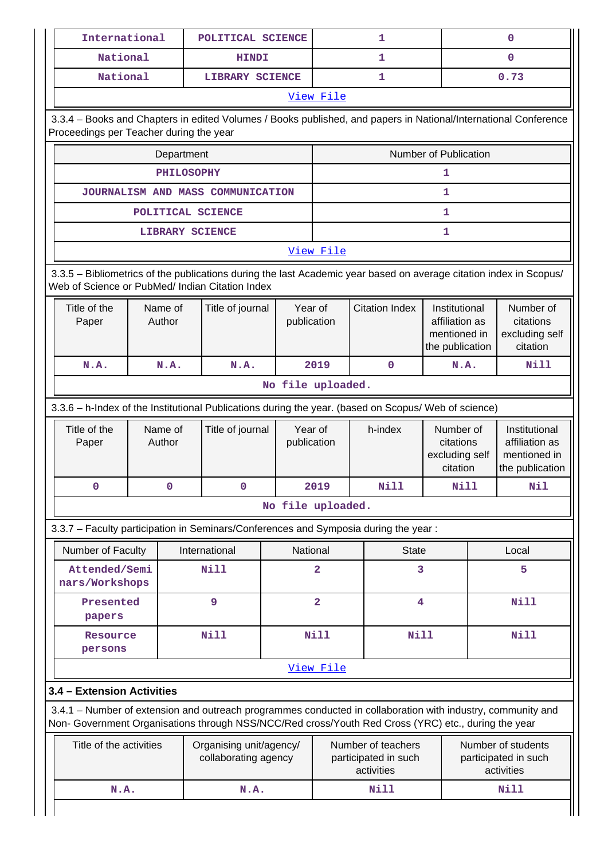|                                                      | International<br>POLITICAL SCIENCE    |                                                                                                                                                                                                                    |                        |                       | 1                                                        |                                                                    | $\mathbf{0}$                                             |  |
|------------------------------------------------------|---------------------------------------|--------------------------------------------------------------------------------------------------------------------------------------------------------------------------------------------------------------------|------------------------|-----------------------|----------------------------------------------------------|--------------------------------------------------------------------|----------------------------------------------------------|--|
| National                                             |                                       | <b>HINDI</b>                                                                                                                                                                                                       |                        |                       | 1                                                        |                                                                    | $\Omega$                                                 |  |
| National                                             |                                       | LIBRARY SCIENCE                                                                                                                                                                                                    |                        |                       | 1                                                        |                                                                    | 0.73                                                     |  |
| View File                                            |                                       |                                                                                                                                                                                                                    |                        |                       |                                                          |                                                                    |                                                          |  |
| Proceedings per Teacher during the year              |                                       | 3.3.4 - Books and Chapters in edited Volumes / Books published, and papers in National/International Conference                                                                                                    |                        |                       |                                                          |                                                                    |                                                          |  |
|                                                      | Department                            |                                                                                                                                                                                                                    |                        |                       |                                                          | Number of Publication                                              |                                                          |  |
|                                                      | <b>PHILOSOPHY</b>                     |                                                                                                                                                                                                                    |                        |                       |                                                          | 1                                                                  |                                                          |  |
|                                                      |                                       | JOURNALISM AND MASS COMMUNICATION                                                                                                                                                                                  |                        |                       |                                                          | 1                                                                  |                                                          |  |
|                                                      | POLITICAL SCIENCE                     |                                                                                                                                                                                                                    |                        |                       |                                                          | 1                                                                  |                                                          |  |
|                                                      | <b>LIBRARY SCIENCE</b>                |                                                                                                                                                                                                                    |                        |                       |                                                          | 1                                                                  |                                                          |  |
|                                                      |                                       |                                                                                                                                                                                                                    |                        | View File             |                                                          |                                                                    |                                                          |  |
|                                                      |                                       | 3.3.5 - Bibliometrics of the publications during the last Academic year based on average citation index in Scopus/<br>Web of Science or PubMed/ Indian Citation Index                                              |                        |                       |                                                          |                                                                    |                                                          |  |
| Title of the<br>Paper                                | Name of<br>Title of journal<br>Author |                                                                                                                                                                                                                    | Year of<br>publication | <b>Citation Index</b> |                                                          | Institutional<br>affiliation as<br>mentioned in<br>the publication | Number of<br>citations<br>excluding self<br>citation     |  |
| N.A.                                                 | N.A.                                  | N.A.                                                                                                                                                                                                               |                        | 2019                  | $\mathbf 0$                                              | N.A.                                                               | <b>Nill</b>                                              |  |
|                                                      |                                       |                                                                                                                                                                                                                    | No file uploaded.      |                       |                                                          |                                                                    |                                                          |  |
|                                                      |                                       | 3.3.6 - h-Index of the Institutional Publications during the year. (based on Scopus/ Web of science)                                                                                                               |                        |                       |                                                          |                                                                    |                                                          |  |
| Title of the<br>Paper                                | Name of<br>Author                     | Title of journal                                                                                                                                                                                                   | Year of<br>publication |                       | h-index                                                  | Number of<br>citations<br>excluding self                           | Institutional<br>affiliation as<br>mentioned in          |  |
|                                                      |                                       |                                                                                                                                                                                                                    |                        |                       |                                                          | citation                                                           |                                                          |  |
| $\mathbf 0$                                          | 0                                     | $\mathbf 0$                                                                                                                                                                                                        |                        | 2019                  | <b>Nill</b>                                              | <b>Nill</b>                                                        | Nil                                                      |  |
|                                                      |                                       |                                                                                                                                                                                                                    | No file uploaded.      |                       |                                                          |                                                                    |                                                          |  |
|                                                      |                                       |                                                                                                                                                                                                                    |                        |                       |                                                          |                                                                    |                                                          |  |
|                                                      |                                       | 3.3.7 - Faculty participation in Seminars/Conferences and Symposia during the year:                                                                                                                                |                        |                       |                                                          |                                                                    |                                                          |  |
| Number of Faculty<br>Attended/Semi<br>nars/Workshops |                                       | International<br><b>Nill</b>                                                                                                                                                                                       | National               | $\overline{a}$        | <b>State</b><br>3                                        |                                                                    | Local<br>5                                               |  |
| Presented<br>papers                                  |                                       | 9                                                                                                                                                                                                                  |                        | $\overline{a}$        | 4                                                        |                                                                    | <b>Nill</b>                                              |  |
| Resource<br>persons                                  |                                       | <b>Nill</b>                                                                                                                                                                                                        |                        | <b>Nill</b>           | <b>Nill</b>                                              |                                                                    | <b>Nill</b>                                              |  |
|                                                      |                                       |                                                                                                                                                                                                                    |                        | View File             |                                                          |                                                                    |                                                          |  |
| 3.4 - Extension Activities                           |                                       |                                                                                                                                                                                                                    |                        |                       |                                                          |                                                                    | the publication                                          |  |
|                                                      |                                       | 3.4.1 – Number of extension and outreach programmes conducted in collaboration with industry, community and<br>Non- Government Organisations through NSS/NCC/Red cross/Youth Red Cross (YRC) etc., during the year |                        |                       |                                                          |                                                                    |                                                          |  |
| Title of the activities                              |                                       | Organising unit/agency/<br>collaborating agency                                                                                                                                                                    |                        |                       | Number of teachers<br>participated in such<br>activities |                                                                    | Number of students<br>participated in such<br>activities |  |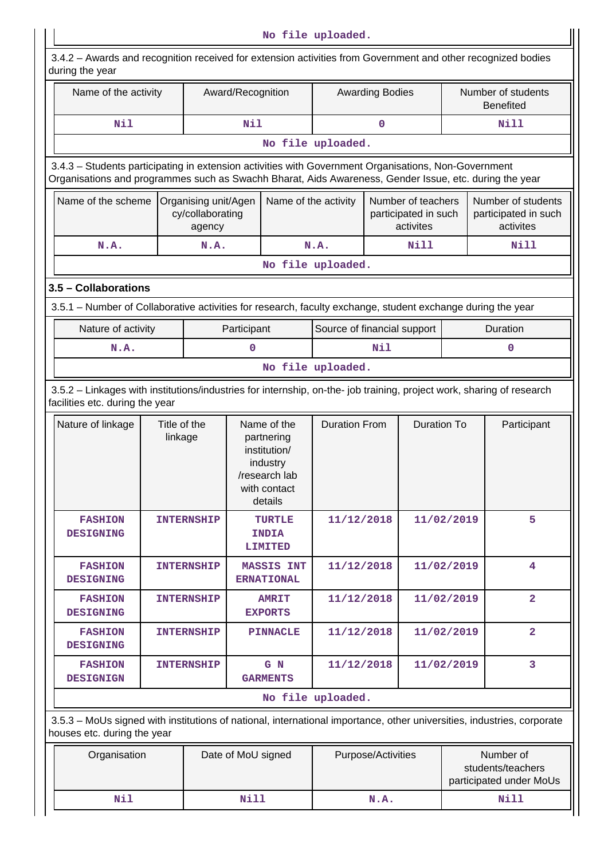**No file uploaded.** 3.4.2 – Awards and recognition received for extension activities from Government and other recognized bodies during the year Name of the activity | Award/Recognition | Awarding Bodies | Number of students Benefited  **Nil Nil 0 Nill No file uploaded.** 3.4.3 – Students participating in extension activities with Government Organisations, Non-Government Organisations and programmes such as Swachh Bharat, Aids Awareness, Gender Issue, etc. during the year Name of the scheme Organising unit/Agen cy/collaborating agency Name of the activity  $\vert$  Number of teachers participated in such activites Number of students participated in such activites **N.A.** | **N.A.** | **N.A.** | **Nill** | **Nill No file uploaded. 3.5 – Collaborations** 3.5.1 – Number of Collaborative activities for research, faculty exchange, student exchange during the year Nature of activity **Participant** Source of financial support | Duration  **N.A. 0 Nil 0 No file uploaded.** 3.5.2 – Linkages with institutions/industries for internship, on-the- job training, project work, sharing of research facilities etc. during the year Nature of linkage  $\vert$  Title of the linkage Name of the partnering institution/ industry /research lab with contact details Duration From | Duration To | Participant

| Nature of linkage                  | Title of the<br>linkage | Name of the<br>partnering<br>institution/<br>industry<br>/research lab<br>with contact<br>details | <b>Duration From</b> | Duration To | Participant    |
|------------------------------------|-------------------------|---------------------------------------------------------------------------------------------------|----------------------|-------------|----------------|
| <b>FASHION</b><br><b>DESIGNING</b> | <b>INTERNSHIP</b>       | <b>TURTLE</b><br><b>INDIA</b><br><b>LIMITED</b>                                                   | 11/12/2018           | 11/02/2019  | 5              |
| <b>FASHION</b><br><b>DESIGNING</b> | <b>INTERNSHIP</b>       | <b>MASSIS INT</b><br><b>ERNATIONAL</b>                                                            | 11/12/2018           | 11/02/2019  | 4              |
| <b>FASHION</b><br><b>DESIGNING</b> | <b>INTERNSHIP</b>       | <b>AMRIT</b><br><b>EXPORTS</b>                                                                    | 11/12/2018           | 11/02/2019  | $\overline{2}$ |
| <b>FASHION</b><br><b>DESIGNING</b> | <b>INTERNSHIP</b>       | <b>PINNACLE</b>                                                                                   | 11/12/2018           | 11/02/2019  | $\overline{2}$ |
| <b>FASHION</b><br><b>DESIGNIGN</b> | <b>INTERNSHIP</b>       | G N<br><b>GARMENTS</b>                                                                            | 11/12/2018           | 11/02/2019  | 3              |
|                                    |                         |                                                                                                   | No file uploaded.    |             |                |

 3.5.3 – MoUs signed with institutions of national, international importance, other universities, industries, corporate houses etc. during the year

| Organisation | Date of MoU signed | Purpose/Activities | Number of<br>students/teachers<br>participated under MoUs |
|--------------|--------------------|--------------------|-----------------------------------------------------------|
| Nil          | Nill               | N.A.               | Nill                                                      |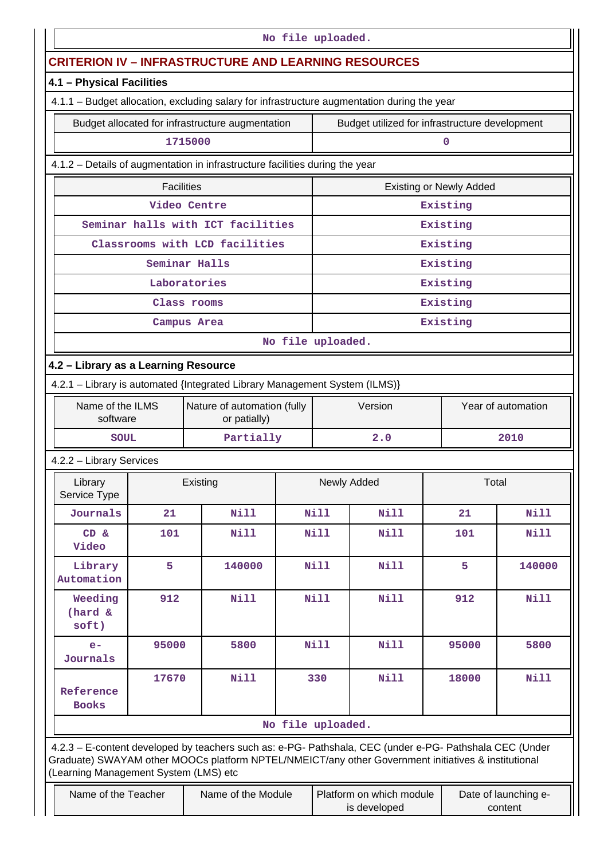| No file uploaded.                                                                           |                   |                                                                                                                                                                                                                |                   |                               |                                                |                                |                                 |  |
|---------------------------------------------------------------------------------------------|-------------------|----------------------------------------------------------------------------------------------------------------------------------------------------------------------------------------------------------------|-------------------|-------------------------------|------------------------------------------------|--------------------------------|---------------------------------|--|
|                                                                                             |                   | <b>CRITERION IV - INFRASTRUCTURE AND LEARNING RESOURCES</b>                                                                                                                                                    |                   |                               |                                                |                                |                                 |  |
| 4.1 - Physical Facilities                                                                   |                   |                                                                                                                                                                                                                |                   |                               |                                                |                                |                                 |  |
| 4.1.1 - Budget allocation, excluding salary for infrastructure augmentation during the year |                   |                                                                                                                                                                                                                |                   |                               |                                                |                                |                                 |  |
|                                                                                             |                   | Budget allocated for infrastructure augmentation                                                                                                                                                               |                   |                               | Budget utilized for infrastructure development |                                |                                 |  |
|                                                                                             |                   | 1715000                                                                                                                                                                                                        |                   |                               |                                                | $\mathbf 0$                    |                                 |  |
| 4.1.2 - Details of augmentation in infrastructure facilities during the year                |                   |                                                                                                                                                                                                                |                   |                               |                                                |                                |                                 |  |
|                                                                                             | <b>Facilities</b> |                                                                                                                                                                                                                |                   |                               |                                                | <b>Existing or Newly Added</b> |                                 |  |
|                                                                                             |                   | Video Centre                                                                                                                                                                                                   |                   |                               |                                                | Existing                       |                                 |  |
|                                                                                             |                   | Seminar halls with ICT facilities                                                                                                                                                                              |                   |                               |                                                | Existing                       |                                 |  |
|                                                                                             |                   | Classrooms with LCD facilities                                                                                                                                                                                 |                   |                               |                                                | Existing                       |                                 |  |
|                                                                                             |                   | Seminar Halls                                                                                                                                                                                                  |                   |                               |                                                | Existing                       |                                 |  |
|                                                                                             |                   | Laboratories                                                                                                                                                                                                   |                   |                               |                                                | Existing                       |                                 |  |
|                                                                                             |                   | Class rooms                                                                                                                                                                                                    |                   |                               |                                                | Existing                       |                                 |  |
|                                                                                             |                   | Campus Area                                                                                                                                                                                                    |                   |                               |                                                | Existing                       |                                 |  |
|                                                                                             |                   |                                                                                                                                                                                                                | No file uploaded. |                               |                                                |                                |                                 |  |
| 4.2 - Library as a Learning Resource                                                        |                   |                                                                                                                                                                                                                |                   |                               |                                                |                                |                                 |  |
|                                                                                             |                   | 4.2.1 - Library is automated {Integrated Library Management System (ILMS)}                                                                                                                                     |                   |                               |                                                |                                |                                 |  |
| Name of the ILMS<br>software                                                                |                   | Nature of automation (fully<br>or patially)                                                                                                                                                                    |                   | Version<br>Year of automation |                                                |                                |                                 |  |
| <b>SOUL</b>                                                                                 |                   | Partially                                                                                                                                                                                                      |                   |                               | 2.0<br>2010                                    |                                |                                 |  |
| 4.2.2 - Library Services                                                                    |                   |                                                                                                                                                                                                                |                   |                               |                                                |                                |                                 |  |
| Library<br>Service Type                                                                     |                   | Existing                                                                                                                                                                                                       |                   |                               | Newly Added                                    |                                | Total                           |  |
| Journals                                                                                    | 21                | <b>Nill</b>                                                                                                                                                                                                    |                   | Nill                          | Nill                                           | 21                             | <b>Nill</b>                     |  |
| CD &<br>Video                                                                               | 101               | Nill                                                                                                                                                                                                           |                   | <b>Nill</b>                   | <b>Nill</b>                                    | 101                            | Nill                            |  |
| Library<br>Automation                                                                       | 5                 | 140000                                                                                                                                                                                                         |                   | Nill                          | Nill                                           | 5                              | 140000                          |  |
| Weeding<br>(hard &<br>soft)                                                                 | 912               | <b>Nill</b>                                                                                                                                                                                                    |                   | Nill                          | <b>Nill</b>                                    | 912                            | Nill                            |  |
| $e-$<br>Journals                                                                            | 95000             | 5800                                                                                                                                                                                                           |                   | <b>Nill</b>                   | <b>Nill</b>                                    | 95000                          | 5800                            |  |
| Reference<br><b>Books</b>                                                                   | 17670             | Nill                                                                                                                                                                                                           |                   | 330                           | <b>Nill</b>                                    | 18000                          | Nill                            |  |
|                                                                                             |                   |                                                                                                                                                                                                                | No file uploaded. |                               |                                                |                                |                                 |  |
| (Learning Management System (LMS) etc                                                       |                   | 4.2.3 - E-content developed by teachers such as: e-PG- Pathshala, CEC (under e-PG- Pathshala CEC (Under<br>Graduate) SWAYAM other MOOCs platform NPTEL/NMEICT/any other Government initiatives & institutional |                   |                               |                                                |                                |                                 |  |
| Name of the Teacher                                                                         |                   | Name of the Module                                                                                                                                                                                             |                   |                               | Platform on which module<br>is developed       |                                | Date of launching e-<br>content |  |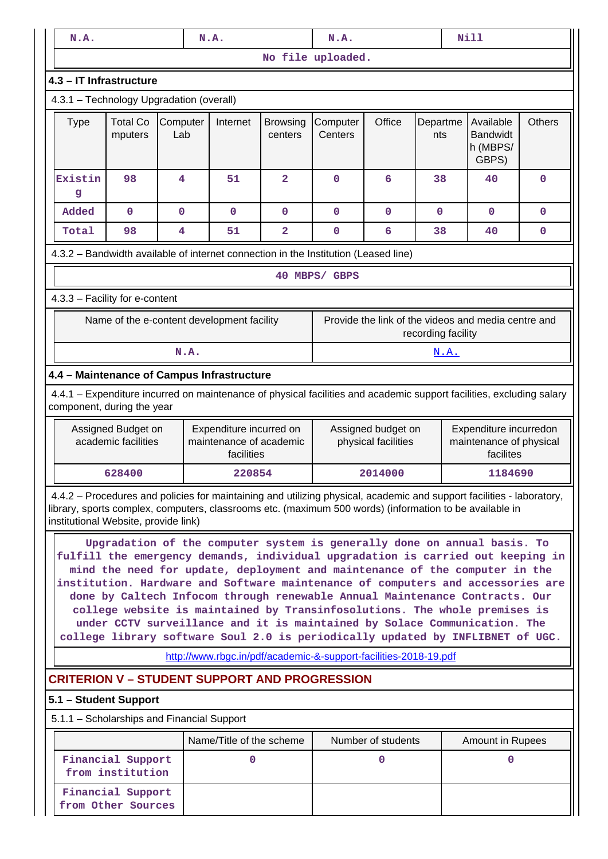| <b>Nill</b><br>N.A.<br>N.A.<br>N.A.                                                                                                                                                                                                                                      |                                                                                                                                                                                                                                                                                                                                                                                                                                                                                                                                                                                                                                                                                                                               |             |                            |                                                                  |                |                                                                                                             |                                                     |                    |                  |             |
|--------------------------------------------------------------------------------------------------------------------------------------------------------------------------------------------------------------------------------------------------------------------------|-------------------------------------------------------------------------------------------------------------------------------------------------------------------------------------------------------------------------------------------------------------------------------------------------------------------------------------------------------------------------------------------------------------------------------------------------------------------------------------------------------------------------------------------------------------------------------------------------------------------------------------------------------------------------------------------------------------------------------|-------------|----------------------------|------------------------------------------------------------------|----------------|-------------------------------------------------------------------------------------------------------------|-----------------------------------------------------|--------------------|------------------|-------------|
|                                                                                                                                                                                                                                                                          |                                                                                                                                                                                                                                                                                                                                                                                                                                                                                                                                                                                                                                                                                                                               |             |                            |                                                                  |                | No file uploaded.                                                                                           |                                                     |                    |                  |             |
| 4.3 - IT Infrastructure                                                                                                                                                                                                                                                  |                                                                                                                                                                                                                                                                                                                                                                                                                                                                                                                                                                                                                                                                                                                               |             |                            |                                                                  |                |                                                                                                             |                                                     |                    |                  |             |
| 4.3.1 - Technology Upgradation (overall)                                                                                                                                                                                                                                 |                                                                                                                                                                                                                                                                                                                                                                                                                                                                                                                                                                                                                                                                                                                               |             |                            |                                                                  |                |                                                                                                             |                                                     |                    |                  |             |
| <b>Type</b>                                                                                                                                                                                                                                                              | <b>Total Co</b><br>Computer<br>Internet<br>Lab<br>mputers                                                                                                                                                                                                                                                                                                                                                                                                                                                                                                                                                                                                                                                                     |             | <b>Browsing</b><br>centers | Computer<br>Centers                                              | Office         | Departme<br>nts                                                                                             | Available<br><b>Bandwidt</b><br>h (MBPS/<br>GBPS)   | <b>Others</b>      |                  |             |
| Existin<br>g                                                                                                                                                                                                                                                             | 98                                                                                                                                                                                                                                                                                                                                                                                                                                                                                                                                                                                                                                                                                                                            | 4           |                            | 51                                                               | $\overline{a}$ | $\mathbf 0$                                                                                                 | 6                                                   | 38                 | 40               | $\mathbf 0$ |
| Added                                                                                                                                                                                                                                                                    | $\mathbf 0$                                                                                                                                                                                                                                                                                                                                                                                                                                                                                                                                                                                                                                                                                                                   | $\mathbf 0$ |                            | $\mathbf 0$                                                      | 0              | $\mathbf 0$                                                                                                 | $\mathbf 0$                                         | 0                  | $\mathbf 0$      | 0           |
| Total                                                                                                                                                                                                                                                                    | 98                                                                                                                                                                                                                                                                                                                                                                                                                                                                                                                                                                                                                                                                                                                            | 4           |                            | 51                                                               | 2              | $\mathbf 0$                                                                                                 | 6                                                   | 38                 | 40               | 0           |
| 4.3.2 - Bandwidth available of internet connection in the Institution (Leased line)                                                                                                                                                                                      |                                                                                                                                                                                                                                                                                                                                                                                                                                                                                                                                                                                                                                                                                                                               |             |                            |                                                                  |                |                                                                                                             |                                                     |                    |                  |             |
|                                                                                                                                                                                                                                                                          |                                                                                                                                                                                                                                                                                                                                                                                                                                                                                                                                                                                                                                                                                                                               |             |                            |                                                                  |                | 40 MBPS/ GBPS                                                                                               |                                                     |                    |                  |             |
| 4.3.3 - Facility for e-content                                                                                                                                                                                                                                           |                                                                                                                                                                                                                                                                                                                                                                                                                                                                                                                                                                                                                                                                                                                               |             |                            |                                                                  |                |                                                                                                             |                                                     |                    |                  |             |
|                                                                                                                                                                                                                                                                          | Name of the e-content development facility                                                                                                                                                                                                                                                                                                                                                                                                                                                                                                                                                                                                                                                                                    |             |                            |                                                                  |                |                                                                                                             | Provide the link of the videos and media centre and | recording facility |                  |             |
|                                                                                                                                                                                                                                                                          |                                                                                                                                                                                                                                                                                                                                                                                                                                                                                                                                                                                                                                                                                                                               |             | N.A.                       |                                                                  |                |                                                                                                             |                                                     | <u>N.A.</u>        |                  |             |
| 4.4 - Maintenance of Campus Infrastructure                                                                                                                                                                                                                               |                                                                                                                                                                                                                                                                                                                                                                                                                                                                                                                                                                                                                                                                                                                               |             |                            |                                                                  |                |                                                                                                             |                                                     |                    |                  |             |
| 4.4.1 – Expenditure incurred on maintenance of physical facilities and academic support facilities, excluding salary<br>component, during the year                                                                                                                       |                                                                                                                                                                                                                                                                                                                                                                                                                                                                                                                                                                                                                                                                                                                               |             |                            |                                                                  |                |                                                                                                             |                                                     |                    |                  |             |
|                                                                                                                                                                                                                                                                          | Assigned Budget on<br>academic facilities                                                                                                                                                                                                                                                                                                                                                                                                                                                                                                                                                                                                                                                                                     |             |                            | Expenditure incurred on<br>maintenance of academic<br>facilities |                | Assigned budget on<br>Expenditure incurredon<br>maintenance of physical<br>physical facilities<br>facilites |                                                     |                    |                  |             |
|                                                                                                                                                                                                                                                                          | 628400                                                                                                                                                                                                                                                                                                                                                                                                                                                                                                                                                                                                                                                                                                                        |             |                            | 220854                                                           |                |                                                                                                             | 2014000                                             |                    | 1184690          |             |
| 4.4.2 – Procedures and policies for maintaining and utilizing physical, academic and support facilities - laboratory,<br>library, sports complex, computers, classrooms etc. (maximum 500 words) (information to be available in<br>institutional Website, provide link) |                                                                                                                                                                                                                                                                                                                                                                                                                                                                                                                                                                                                                                                                                                                               |             |                            |                                                                  |                |                                                                                                             |                                                     |                    |                  |             |
|                                                                                                                                                                                                                                                                          | Upgradation of the computer system is generally done on annual basis. To<br>fulfill the emergency demands, individual upgradation is carried out keeping in<br>mind the need for update, deployment and maintenance of the computer in the<br>institution. Hardware and Software maintenance of computers and accessories are<br>done by Caltech Infocom through renewable Annual Maintenance Contracts. Our<br>college website is maintained by Transinfosolutions. The whole premises is<br>under CCTV surveillance and it is maintained by Solace Communication. The<br>college library software Soul 2.0 is periodically updated by INFLIBNET of UGC.<br>http://www.rbgc.in/pdf/academic-&-support-facilities-2018-19.pdf |             |                            |                                                                  |                |                                                                                                             |                                                     |                    |                  |             |
| <b>CRITERION V - STUDENT SUPPORT AND PROGRESSION</b>                                                                                                                                                                                                                     |                                                                                                                                                                                                                                                                                                                                                                                                                                                                                                                                                                                                                                                                                                                               |             |                            |                                                                  |                |                                                                                                             |                                                     |                    |                  |             |
| 5.1 - Student Support                                                                                                                                                                                                                                                    |                                                                                                                                                                                                                                                                                                                                                                                                                                                                                                                                                                                                                                                                                                                               |             |                            |                                                                  |                |                                                                                                             |                                                     |                    |                  |             |
| 5.1.1 - Scholarships and Financial Support                                                                                                                                                                                                                               |                                                                                                                                                                                                                                                                                                                                                                                                                                                                                                                                                                                                                                                                                                                               |             |                            |                                                                  |                |                                                                                                             |                                                     |                    |                  |             |
|                                                                                                                                                                                                                                                                          |                                                                                                                                                                                                                                                                                                                                                                                                                                                                                                                                                                                                                                                                                                                               |             |                            | Name/Title of the scheme                                         |                |                                                                                                             | Number of students                                  |                    | Amount in Rupees |             |
|                                                                                                                                                                                                                                                                          | Financial Support<br>from institution                                                                                                                                                                                                                                                                                                                                                                                                                                                                                                                                                                                                                                                                                         |             |                            | $\mathbf 0$                                                      |                |                                                                                                             | $\mathbf 0$                                         |                    | $\mathbf 0$      |             |
|                                                                                                                                                                                                                                                                          | Financial Support<br>from Other Sources                                                                                                                                                                                                                                                                                                                                                                                                                                                                                                                                                                                                                                                                                       |             |                            |                                                                  |                |                                                                                                             |                                                     |                    |                  |             |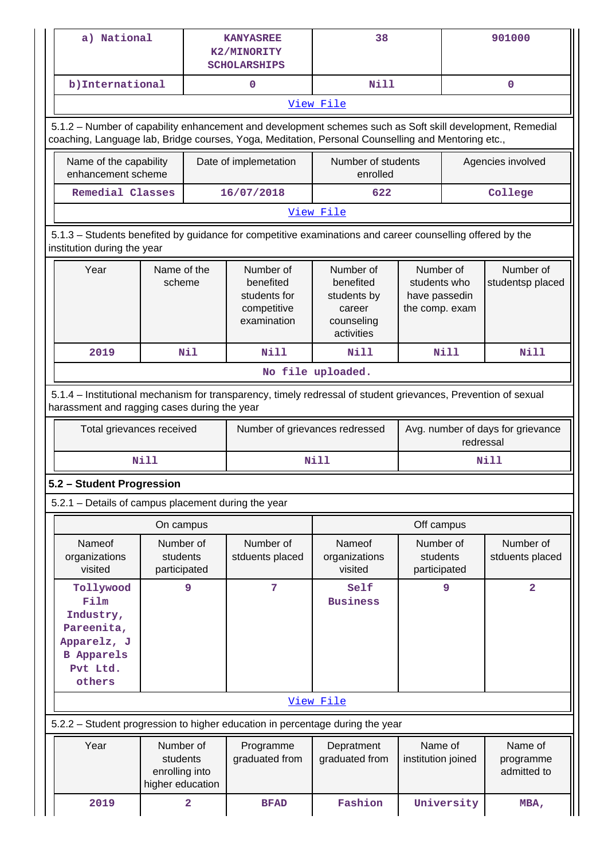| a) National                                                                                                                                                                                                     |                                                                       |                         | <b>KANYASREE</b><br>K2/MINORITY<br><b>SCHOLARSHIPS</b>               | 38                                                                          |                                                              | 901000                              |  |  |
|-----------------------------------------------------------------------------------------------------------------------------------------------------------------------------------------------------------------|-----------------------------------------------------------------------|-------------------------|----------------------------------------------------------------------|-----------------------------------------------------------------------------|--------------------------------------------------------------|-------------------------------------|--|--|
| b) International                                                                                                                                                                                                |                                                                       |                         | $\mathbf 0$                                                          | <b>Nill</b>                                                                 |                                                              | 0                                   |  |  |
|                                                                                                                                                                                                                 | View File                                                             |                         |                                                                      |                                                                             |                                                              |                                     |  |  |
| 5.1.2 - Number of capability enhancement and development schemes such as Soft skill development, Remedial<br>coaching, Language lab, Bridge courses, Yoga, Meditation, Personal Counselling and Mentoring etc., |                                                                       |                         |                                                                      |                                                                             |                                                              |                                     |  |  |
|                                                                                                                                                                                                                 | Name of the capability<br>Date of implemetation<br>enhancement scheme |                         |                                                                      | Number of students<br>enrolled                                              |                                                              | Agencies involved                   |  |  |
| Remedial Classes                                                                                                                                                                                                |                                                                       |                         | 16/07/2018                                                           | 622                                                                         |                                                              | College                             |  |  |
|                                                                                                                                                                                                                 |                                                                       |                         |                                                                      | View File                                                                   |                                                              |                                     |  |  |
| 5.1.3 - Students benefited by guidance for competitive examinations and career counselling offered by the<br>institution during the year                                                                        |                                                                       |                         |                                                                      |                                                                             |                                                              |                                     |  |  |
| Year                                                                                                                                                                                                            | Name of the<br>scheme                                                 |                         | Number of<br>benefited<br>students for<br>competitive<br>examination | Number of<br>benefited<br>students by<br>career<br>counseling<br>activities | Number of<br>students who<br>have passedin<br>the comp. exam | Number of<br>studentsp placed       |  |  |
| 2019                                                                                                                                                                                                            |                                                                       | Nil                     | <b>Nill</b>                                                          | Nill                                                                        | <b>Nill</b>                                                  | Nill                                |  |  |
|                                                                                                                                                                                                                 | No file uploaded.                                                     |                         |                                                                      |                                                                             |                                                              |                                     |  |  |
| 5.1.4 - Institutional mechanism for transparency, timely redressal of student grievances, Prevention of sexual<br>harassment and ragging cases during the year                                                  |                                                                       |                         |                                                                      |                                                                             |                                                              |                                     |  |  |
| Total grievances received                                                                                                                                                                                       |                                                                       |                         | Number of grievances redressed                                       |                                                                             | Avg. number of days for grievance<br>redressal               |                                     |  |  |
|                                                                                                                                                                                                                 | <b>Nill</b>                                                           |                         |                                                                      | Nill                                                                        |                                                              | Nill                                |  |  |
| 5.2 - Student Progression                                                                                                                                                                                       |                                                                       |                         |                                                                      |                                                                             |                                                              |                                     |  |  |
| 5.2.1 - Details of campus placement during the year                                                                                                                                                             |                                                                       |                         |                                                                      |                                                                             |                                                              |                                     |  |  |
|                                                                                                                                                                                                                 | On campus                                                             |                         |                                                                      |                                                                             | Off campus                                                   |                                     |  |  |
| Nameof<br>organizations<br>visited                                                                                                                                                                              | Number of<br>students<br>participated                                 |                         | Number of<br>stduents placed                                         | <b>Nameof</b><br>organizations<br>visited                                   | Number of<br>students<br>participated                        | Number of<br>stduents placed        |  |  |
| Tollywood<br>Film<br>Industry,<br>Pareenita,<br>Apparelz, J<br><b>B</b> Apparels<br>Pvt Ltd.<br>others                                                                                                          | 9                                                                     |                         | $7\phantom{.0}$                                                      | Self<br><b>Business</b>                                                     | 9                                                            | $\overline{a}$                      |  |  |
|                                                                                                                                                                                                                 |                                                                       |                         |                                                                      | View File                                                                   |                                                              |                                     |  |  |
| 5.2.2 - Student progression to higher education in percentage during the year                                                                                                                                   |                                                                       |                         |                                                                      |                                                                             |                                                              |                                     |  |  |
| Year                                                                                                                                                                                                            | Number of<br>students<br>enrolling into<br>higher education           |                         | Programme<br>graduated from                                          | Depratment<br>graduated from                                                | Name of<br>institution joined                                | Name of<br>programme<br>admitted to |  |  |
| 2019                                                                                                                                                                                                            |                                                                       | $\overline{\mathbf{2}}$ | <b>BFAD</b>                                                          | Fashion                                                                     | University                                                   | MBA,                                |  |  |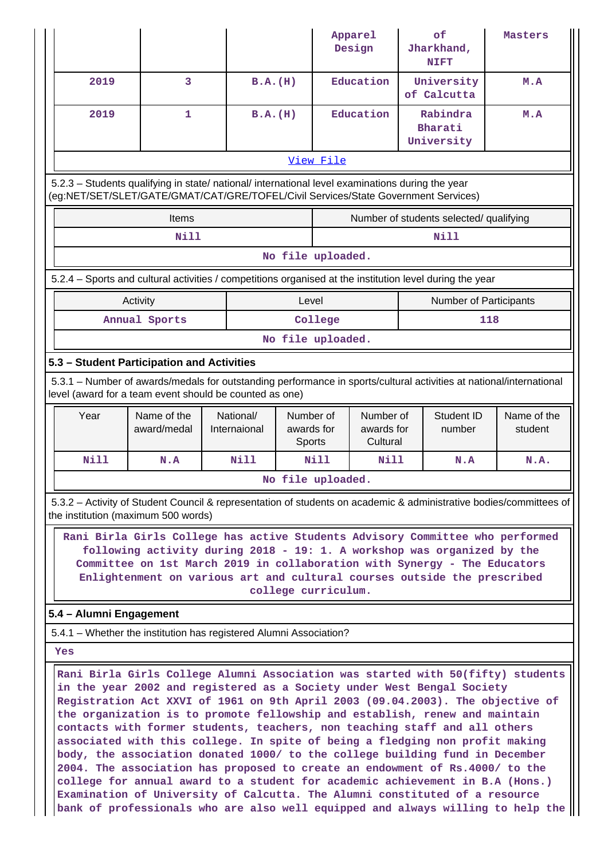|                                                                                                                                                                                                                                                                                                                                          |                            |                           |                                          | Apparel<br>Design                   | of<br>Jharkhand,<br><b>NIFT</b>                                                                                    | Masters                |  |  |
|------------------------------------------------------------------------------------------------------------------------------------------------------------------------------------------------------------------------------------------------------------------------------------------------------------------------------------------|----------------------------|---------------------------|------------------------------------------|-------------------------------------|--------------------------------------------------------------------------------------------------------------------|------------------------|--|--|
| 2019                                                                                                                                                                                                                                                                                                                                     | $\overline{3}$             | B.A.(H)                   |                                          | Education                           | University<br>of Calcutta                                                                                          | M.A                    |  |  |
| 2019                                                                                                                                                                                                                                                                                                                                     | 1                          | B.A.(H)                   |                                          | Education                           | Rabindra<br>Bharati<br>University                                                                                  | M.A                    |  |  |
| View File                                                                                                                                                                                                                                                                                                                                |                            |                           |                                          |                                     |                                                                                                                    |                        |  |  |
| 5.2.3 - Students qualifying in state/ national/ international level examinations during the year<br>(eg:NET/SET/SLET/GATE/GMAT/CAT/GRE/TOFEL/Civil Services/State Government Services)                                                                                                                                                   |                            |                           |                                          |                                     |                                                                                                                    |                        |  |  |
|                                                                                                                                                                                                                                                                                                                                          | Items                      |                           |                                          |                                     | Number of students selected/ qualifying                                                                            |                        |  |  |
|                                                                                                                                                                                                                                                                                                                                          | <b>Nill</b>                |                           |                                          |                                     | <b>Nill</b>                                                                                                        |                        |  |  |
|                                                                                                                                                                                                                                                                                                                                          |                            |                           | No file uploaded.                        |                                     |                                                                                                                    |                        |  |  |
|                                                                                                                                                                                                                                                                                                                                          |                            |                           |                                          |                                     | 5.2.4 – Sports and cultural activities / competitions organised at the institution level during the year           |                        |  |  |
|                                                                                                                                                                                                                                                                                                                                          | Activity                   |                           | Level                                    |                                     | Number of Participants                                                                                             |                        |  |  |
|                                                                                                                                                                                                                                                                                                                                          | Annual Sports              |                           | College                                  |                                     |                                                                                                                    | 118                    |  |  |
|                                                                                                                                                                                                                                                                                                                                          |                            |                           | No file uploaded.                        |                                     |                                                                                                                    |                        |  |  |
| 5.3 - Student Participation and Activities                                                                                                                                                                                                                                                                                               |                            |                           |                                          |                                     |                                                                                                                    |                        |  |  |
| 5.3.1 – Number of awards/medals for outstanding performance in sports/cultural activities at national/international<br>level (award for a team event should be counted as one)                                                                                                                                                           |                            |                           |                                          |                                     |                                                                                                                    |                        |  |  |
| Year                                                                                                                                                                                                                                                                                                                                     | Name of the<br>award/medal | National/<br>Internaional | Number of<br>awards for<br><b>Sports</b> | Number of<br>awards for<br>Cultural | Student ID<br>number                                                                                               | Name of the<br>student |  |  |
| Nill                                                                                                                                                                                                                                                                                                                                     | N.A                        | <b>Nill</b>               | Nill                                     | Nill                                | N.A                                                                                                                | N.A.                   |  |  |
|                                                                                                                                                                                                                                                                                                                                          |                            |                           | No file uploaded.                        |                                     |                                                                                                                    |                        |  |  |
| the institution (maximum 500 words)                                                                                                                                                                                                                                                                                                      |                            |                           |                                          |                                     | 5.3.2 - Activity of Student Council & representation of students on academic & administrative bodies/committees of |                        |  |  |
| Rani Birla Girls College has active Students Advisory Committee who performed<br>following activity during 2018 - 19: 1. A workshop was organized by the<br>Committee on 1st March 2019 in collaboration with Synergy - The Educators<br>Enlightenment on various art and cultural courses outside the prescribed<br>college curriculum. |                            |                           |                                          |                                     |                                                                                                                    |                        |  |  |
|                                                                                                                                                                                                                                                                                                                                          |                            |                           |                                          |                                     |                                                                                                                    |                        |  |  |
| 5.4 - Alumni Engagement                                                                                                                                                                                                                                                                                                                  |                            |                           |                                          |                                     |                                                                                                                    |                        |  |  |
| 5.4.1 – Whether the institution has registered Alumni Association?                                                                                                                                                                                                                                                                       |                            |                           |                                          |                                     |                                                                                                                    |                        |  |  |
| Yes                                                                                                                                                                                                                                                                                                                                      |                            |                           |                                          |                                     |                                                                                                                    |                        |  |  |

**college for annual award to a student for academic achievement in B.A (Hons.) Examination of University of Calcutta. The Alumni constituted of a resource bank of professionals who are also well equipped and always willing to help the**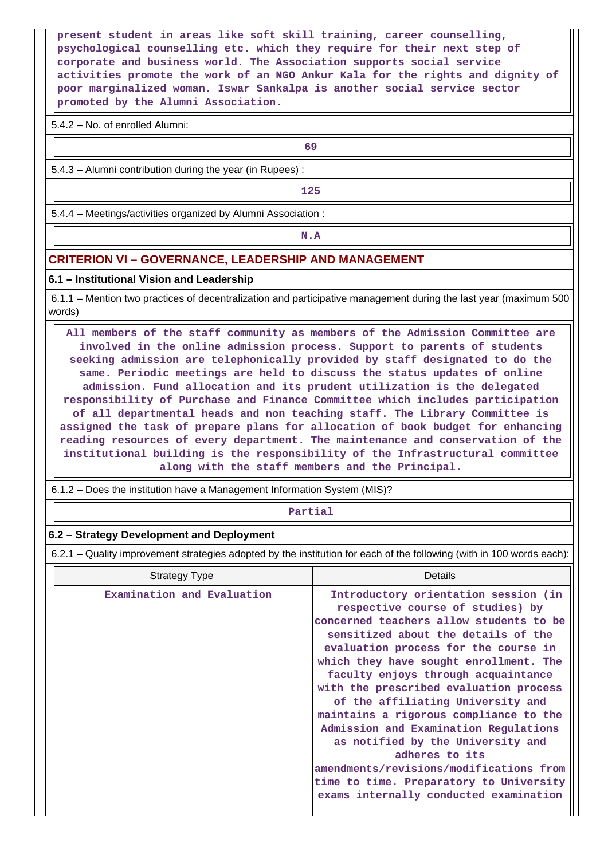**present student in areas like soft skill training, career counselling, psychological counselling etc. which they require for their next step of corporate and business world. The Association supports social service activities promote the work of an NGO Ankur Kala for the rights and dignity of poor marginalized woman. Iswar Sankalpa is another social service sector promoted by the Alumni Association.**

5.4.2 – No. of enrolled Alumni:

**69**

5.4.3 – Alumni contribution during the year (in Rupees) :

**125**

5.4.4 – Meetings/activities organized by Alumni Association :

**N.A**

# **CRITERION VI – GOVERNANCE, LEADERSHIP AND MANAGEMENT**

#### **6.1 – Institutional Vision and Leadership**

 6.1.1 – Mention two practices of decentralization and participative management during the last year (maximum 500 words)

 **All members of the staff community as members of the Admission Committee are involved in the online admission process. Support to parents of students seeking admission are telephonically provided by staff designated to do the same. Periodic meetings are held to discuss the status updates of online admission. Fund allocation and its prudent utilization is the delegated responsibility of Purchase and Finance Committee which includes participation of all departmental heads and non teaching staff. The Library Committee is assigned the task of prepare plans for allocation of book budget for enhancing reading resources of every department. The maintenance and conservation of the institutional building is the responsibility of the Infrastructural committee along with the staff members and the Principal.**

6.1.2 – Does the institution have a Management Information System (MIS)?

#### **Partial**

### **6.2 – Strategy Development and Deployment**

6.2.1 – Quality improvement strategies adopted by the institution for each of the following (with in 100 words each):

| <b>Strategy Type</b>       | Details                                                                                                                                                                                                                                                                                                                                                                                                                                                                                                                                                                                                                                      |
|----------------------------|----------------------------------------------------------------------------------------------------------------------------------------------------------------------------------------------------------------------------------------------------------------------------------------------------------------------------------------------------------------------------------------------------------------------------------------------------------------------------------------------------------------------------------------------------------------------------------------------------------------------------------------------|
| Examination and Evaluation | Introductory orientation session (in<br>respective course of studies) by<br>concerned teachers allow students to be<br>sensitized about the details of the<br>evaluation process for the course in<br>which they have sought enrollment. The<br>faculty enjoys through acquaintance<br>with the prescribed evaluation process<br>of the affiliating University and<br>maintains a rigorous compliance to the<br>Admission and Examination Regulations<br>as notified by the University and<br>adheres to its<br>amendments/revisions/modifications from<br>time to time. Preparatory to University<br>exams internally conducted examination |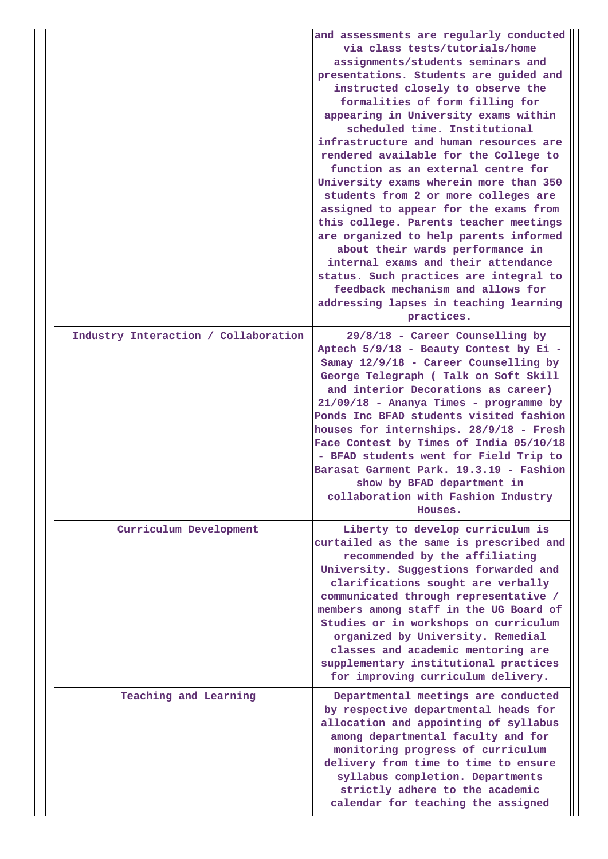|                                      | and assessments are regularly conducted<br>via class tests/tutorials/home<br>assignments/students seminars and<br>presentations. Students are guided and<br>instructed closely to observe the<br>formalities of form filling for<br>appearing in University exams within<br>scheduled time. Institutional<br>infrastructure and human resources are<br>rendered available for the College to<br>function as an external centre for<br>University exams wherein more than 350<br>students from 2 or more colleges are<br>assigned to appear for the exams from<br>this college. Parents teacher meetings<br>are organized to help parents informed<br>about their wards performance in<br>internal exams and their attendance<br>status. Such practices are integral to<br>feedback mechanism and allows for<br>addressing lapses in teaching learning<br>practices. |
|--------------------------------------|---------------------------------------------------------------------------------------------------------------------------------------------------------------------------------------------------------------------------------------------------------------------------------------------------------------------------------------------------------------------------------------------------------------------------------------------------------------------------------------------------------------------------------------------------------------------------------------------------------------------------------------------------------------------------------------------------------------------------------------------------------------------------------------------------------------------------------------------------------------------|
| Industry Interaction / Collaboration | 29/8/18 - Career Counselling by<br>Aptech 5/9/18 - Beauty Contest by Ei -<br>Samay 12/9/18 - Career Counselling by<br>George Telegraph (Talk on Soft Skill<br>and interior Decorations as career)<br>21/09/18 - Ananya Times - programme by<br>Ponds Inc BFAD students visited fashion<br>houses for internships. 28/9/18 - Fresh<br>Face Contest by Times of India 05/10/18<br>- BFAD students went for Field Trip to<br>Barasat Garment Park. 19.3.19 - Fashion<br>show by BFAD department in<br>collaboration with Fashion Industry<br>Houses.                                                                                                                                                                                                                                                                                                                   |
| Curriculum Development               | Liberty to develop curriculum is<br>curtailed as the same is prescribed and<br>recommended by the affiliating<br>University. Suggestions forwarded and<br>clarifications sought are verbally<br>communicated through representative /<br>members among staff in the UG Board of<br>Studies or in workshops on curriculum<br>organized by University. Remedial<br>classes and academic mentoring are<br>supplementary institutional practices<br>for improving curriculum delivery.                                                                                                                                                                                                                                                                                                                                                                                  |
| Teaching and Learning                | Departmental meetings are conducted<br>by respective departmental heads for<br>allocation and appointing of syllabus<br>among departmental faculty and for<br>monitoring progress of curriculum<br>delivery from time to time to ensure<br>syllabus completion. Departments<br>strictly adhere to the academic<br>calendar for teaching the assigned                                                                                                                                                                                                                                                                                                                                                                                                                                                                                                                |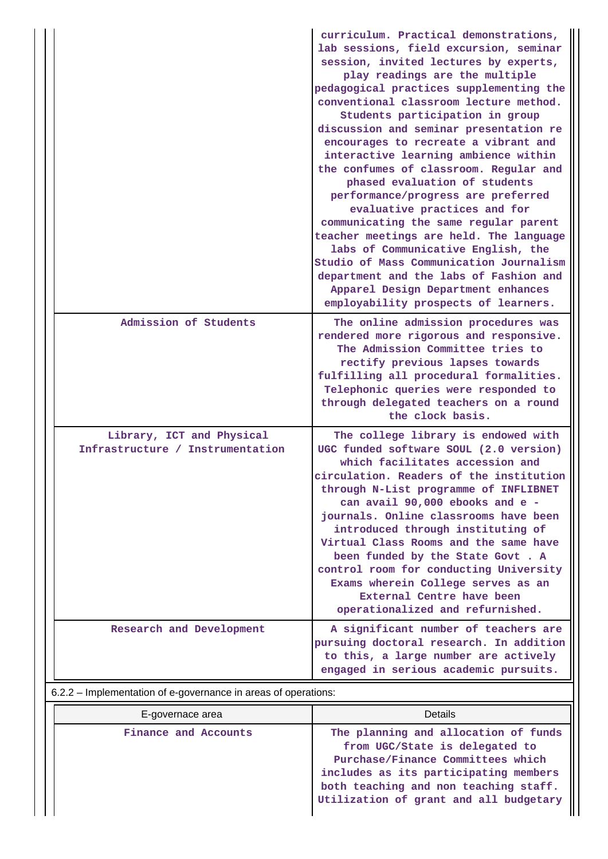|                                                               | curriculum. Practical demonstrations,<br>lab sessions, field excursion, seminar<br>session, invited lectures by experts,<br>play readings are the multiple<br>pedagogical practices supplementing the<br>conventional classroom lecture method.<br>Students participation in group<br>discussion and seminar presentation re<br>encourages to recreate a vibrant and<br>interactive learning ambience within<br>the confumes of classroom. Regular and<br>phased evaluation of students<br>performance/progress are preferred<br>evaluative practices and for<br>communicating the same regular parent<br>teacher meetings are held. The language<br>labs of Communicative English, the<br>Studio of Mass Communication Journalism<br>department and the labs of Fashion and<br>Apparel Design Department enhances<br>employability prospects of learners. |
|---------------------------------------------------------------|------------------------------------------------------------------------------------------------------------------------------------------------------------------------------------------------------------------------------------------------------------------------------------------------------------------------------------------------------------------------------------------------------------------------------------------------------------------------------------------------------------------------------------------------------------------------------------------------------------------------------------------------------------------------------------------------------------------------------------------------------------------------------------------------------------------------------------------------------------|
| Admission of Students                                         | The online admission procedures was<br>rendered more rigorous and responsive.<br>The Admission Committee tries to<br>rectify previous lapses towards<br>fulfilling all procedural formalities.<br>Telephonic queries were responded to<br>through delegated teachers on a round<br>the clock basis.                                                                                                                                                                                                                                                                                                                                                                                                                                                                                                                                                        |
| Library, ICT and Physical<br>Infrastructure / Instrumentation | The college library is endowed with<br>UGC funded software SOUL (2.0 version)<br>which facilitates accession and<br>circulation. Readers of the institution<br>through N-List programme of INFLIBNET<br>can avail 90,000 ebooks and e -<br>journals. Online classrooms have been<br>introduced through instituting of<br>Virtual Class Rooms and the same have<br>been funded by the State Govt . A<br>control room for conducting University<br>Exams wherein College serves as an<br>External Centre have been<br>operationalized and refurnished.                                                                                                                                                                                                                                                                                                       |
| Research and Development                                      | A significant number of teachers are<br>pursuing doctoral research. In addition<br>to this, a large number are actively<br>engaged in serious academic pursuits.                                                                                                                                                                                                                                                                                                                                                                                                                                                                                                                                                                                                                                                                                           |

# 6.2.2 – Implementation of e-governance in areas of operations:

| E-governace area     | Details                                                                                                                                                                                                                                 |
|----------------------|-----------------------------------------------------------------------------------------------------------------------------------------------------------------------------------------------------------------------------------------|
| Finance and Accounts | The planning and allocation of funds<br>from UGC/State is delegated to<br>Purchase/Finance Committees which<br>includes as its participating members<br>both teaching and non teaching staff.<br>Utilization of grant and all budgetary |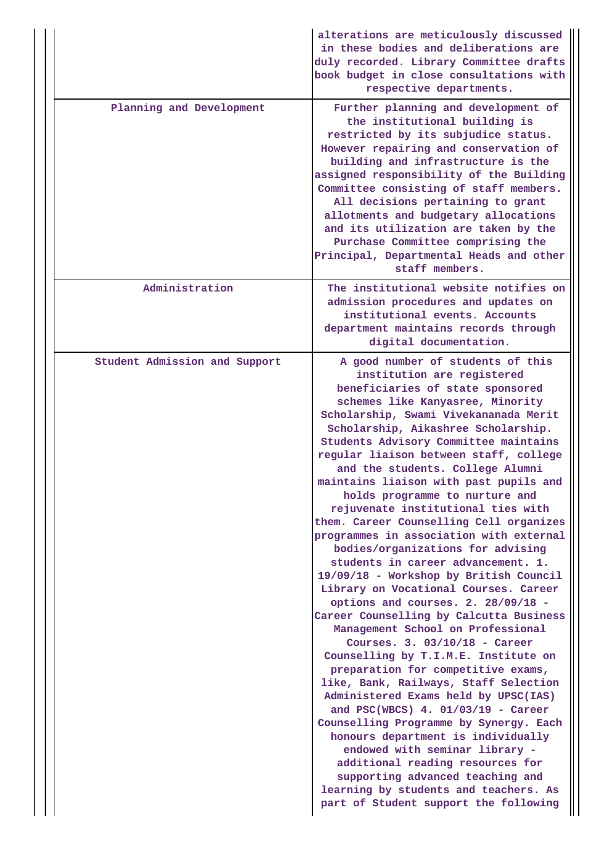|                               | alterations are meticulously discussed<br>in these bodies and deliberations are<br>duly recorded. Library Committee drafts<br>book budget in close consultations with<br>respective departments.                                                                                                                                                                                                                                                                                                                                                                                                                                                                                                                                                                                                                                                                                                                                                                                                                                                                                                                                                                                                                                                                                                                                                                |
|-------------------------------|-----------------------------------------------------------------------------------------------------------------------------------------------------------------------------------------------------------------------------------------------------------------------------------------------------------------------------------------------------------------------------------------------------------------------------------------------------------------------------------------------------------------------------------------------------------------------------------------------------------------------------------------------------------------------------------------------------------------------------------------------------------------------------------------------------------------------------------------------------------------------------------------------------------------------------------------------------------------------------------------------------------------------------------------------------------------------------------------------------------------------------------------------------------------------------------------------------------------------------------------------------------------------------------------------------------------------------------------------------------------|
| Planning and Development      | Further planning and development of<br>the institutional building is<br>restricted by its subjudice status.<br>However repairing and conservation of<br>building and infrastructure is the<br>assigned responsibility of the Building<br>Committee consisting of staff members.<br>All decisions pertaining to grant<br>allotments and budgetary allocations<br>and its utilization are taken by the<br>Purchase Committee comprising the<br>Principal, Departmental Heads and other<br>staff members.                                                                                                                                                                                                                                                                                                                                                                                                                                                                                                                                                                                                                                                                                                                                                                                                                                                          |
| Administration                | The institutional website notifies on<br>admission procedures and updates on<br>institutional events. Accounts<br>department maintains records through<br>digital documentation.                                                                                                                                                                                                                                                                                                                                                                                                                                                                                                                                                                                                                                                                                                                                                                                                                                                                                                                                                                                                                                                                                                                                                                                |
| Student Admission and Support | A good number of students of this<br>institution are registered<br>beneficiaries of state sponsored<br>schemes like Kanyasree, Minority<br>Scholarship, Swami Vivekananada Merit<br>Scholarship, Aikashree Scholarship.<br>Students Advisory Committee maintains<br>regular liaison between staff, college<br>and the students. College Alumni<br>maintains liaison with past pupils and<br>holds programme to nurture and<br>rejuvenate institutional ties with<br>them. Career Counselling Cell organizes<br>programmes in association with external<br>bodies/organizations for advising<br>students in career advancement. 1.<br>19/09/18 - Workshop by British Council<br>Library on Vocational Courses. Career<br>options and courses. 2. 28/09/18 -<br>Career Counselling by Calcutta Business<br>Management School on Professional<br>Courses. 3. $03/10/18$ - Career<br>Counselling by T.I.M.E. Institute on<br>preparation for competitive exams,<br>like, Bank, Railways, Staff Selection<br>Administered Exams held by UPSC(IAS)<br>and PSC(WBCS) $4.01/03/19$ - Career<br>Counselling Programme by Synergy. Each<br>honours department is individually<br>endowed with seminar library -<br>additional reading resources for<br>supporting advanced teaching and<br>learning by students and teachers. As<br>part of Student support the following |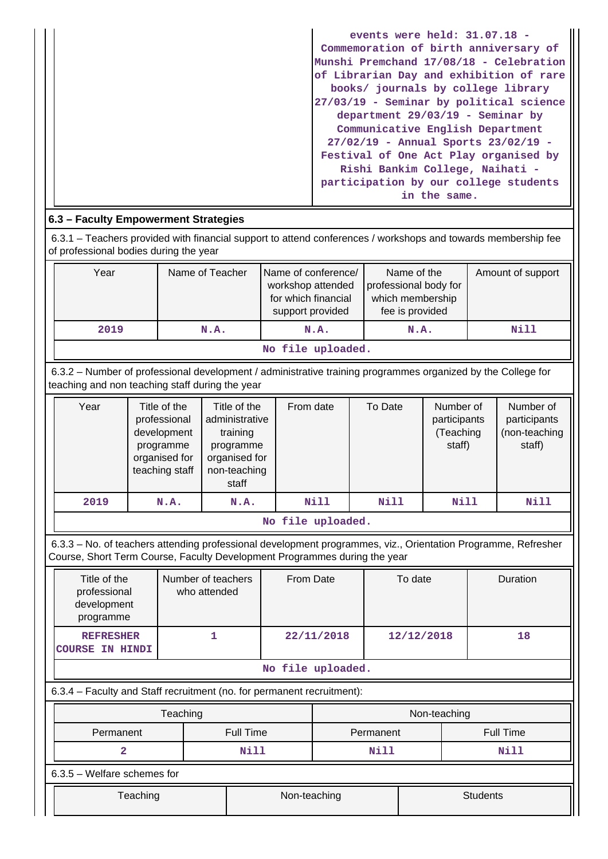| events were held: $31.07.18$ -          |
|-----------------------------------------|
| Commemoration of birth anniversary of   |
| Munshi Premchand 17/08/18 - Celebration |
| of Librarian Day and exhibition of rare |
| books/ journals by college library      |
| 27/03/19 - Seminar by political science |
| department $29/03/19$ - Seminar by      |
| Communicative English Department        |
| 27/02/19 - Annual Sports 23/02/19 -     |
| Festival of One Act Play organised by   |
| Rishi Bankim College, Naihati -         |
| participation by our college students   |
| in the same.                            |

# **6.3 – Faculty Empowerment Strategies**

 6.3.1 – Teachers provided with financial support to attend conferences / workshops and towards membership fee of professional bodies during the year

| Year | Name of conference/<br>Name of Teacher<br>workshop attended<br>for which financial<br>support provided |      | Name of the<br>professional body for<br>which membership<br>fee is provided | Amount of support |
|------|--------------------------------------------------------------------------------------------------------|------|-----------------------------------------------------------------------------|-------------------|
| 2019 | N.A.                                                                                                   | N.A. | N.A.                                                                        | Nill              |

**No file uploaded.**

 6.3.2 – Number of professional development / administrative training programmes organized by the College for teaching and non teaching staff during the year

| Year | Title of the<br>professional<br>development<br>programme<br>organised for<br>teaching staff | Title of the<br>administrative<br>training<br>programme<br>organised for<br>non-teaching<br>staff | From date | To Date | Number of<br>participants<br>(Teaching<br>staff) | Number of<br>participants<br>(non-teaching<br>staff) |  |  |  |  |  |
|------|---------------------------------------------------------------------------------------------|---------------------------------------------------------------------------------------------------|-----------|---------|--------------------------------------------------|------------------------------------------------------|--|--|--|--|--|
| 2019 | N.A.                                                                                        | N.A.                                                                                              | Nill      | Nill    | <b>Nill</b>                                      | Nill                                                 |  |  |  |  |  |
|      | No file uploaded.                                                                           |                                                                                                   |           |         |                                                  |                                                      |  |  |  |  |  |

 6.3.3 – No. of teachers attending professional development programmes, viz., Orientation Programme, Refresher Course, Short Term Course, Faculty Development Programmes during the year

| Title of the<br>professional<br>development<br>programme               | Number of teachers<br>who attended |                                 | From Date |            | To date |              |                  | Duration |  |
|------------------------------------------------------------------------|------------------------------------|---------------------------------|-----------|------------|---------|--------------|------------------|----------|--|
| <b>REFRESHER</b><br><b>COURSE IN HINDI</b>                             | 1                                  | 22/11/2018                      |           | 12/12/2018 |         |              | 18               |          |  |
| No file uploaded.                                                      |                                    |                                 |           |            |         |              |                  |          |  |
| 6.3.4 – Faculty and Staff recruitment (no. for permanent recruitment): |                                    |                                 |           |            |         |              |                  |          |  |
|                                                                        | Teaching                           |                                 |           |            |         | Non-teaching |                  |          |  |
| Permanent                                                              |                                    | <b>Full Time</b>                |           | Permanent  |         |              | <b>Full Time</b> |          |  |
| $\mathbf{2}$                                                           |                                    | Nill                            |           |            | Nill    |              |                  |          |  |
|                                                                        | $6.3.5$ – Welfare schemes for      |                                 |           |            |         |              |                  |          |  |
| Teaching                                                               |                                    | Non-teaching<br><b>Students</b> |           |            |         |              |                  |          |  |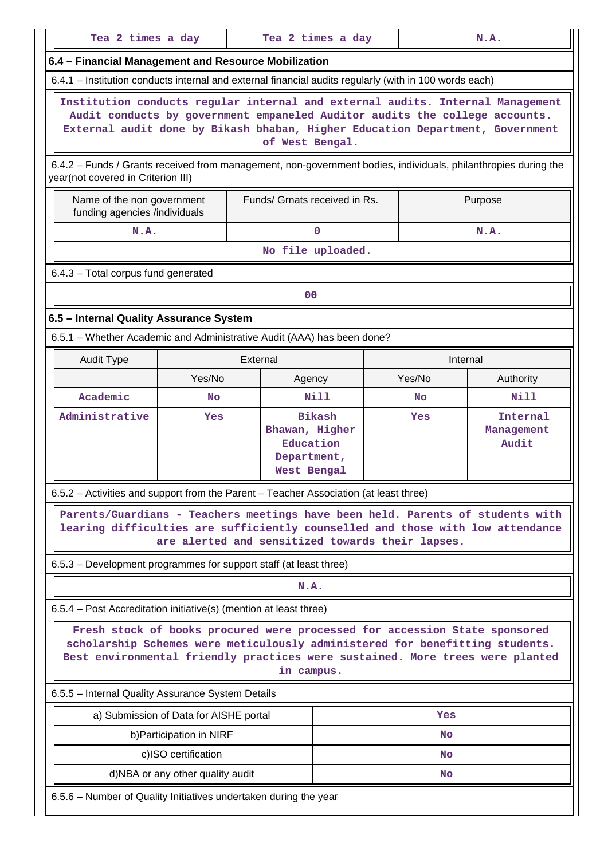|                                                                                                                                                                                                                                                           | Tea 2 times a day<br>Tea 2 times a day<br>N.A. |                                                                            |                               |     |                                 |           |  |  |  |  |  |
|-----------------------------------------------------------------------------------------------------------------------------------------------------------------------------------------------------------------------------------------------------------|------------------------------------------------|----------------------------------------------------------------------------|-------------------------------|-----|---------------------------------|-----------|--|--|--|--|--|
| 6.4 - Financial Management and Resource Mobilization                                                                                                                                                                                                      |                                                |                                                                            |                               |     |                                 |           |  |  |  |  |  |
| 6.4.1 - Institution conducts internal and external financial audits regularly (with in 100 words each)                                                                                                                                                    |                                                |                                                                            |                               |     |                                 |           |  |  |  |  |  |
| Institution conducts regular internal and external audits. Internal Management<br>Audit conducts by government empaneled Auditor audits the college accounts.<br>External audit done by Bikash bhaban, Higher Education Department, Government            |                                                |                                                                            | of West Bengal.               |     |                                 |           |  |  |  |  |  |
| 6.4.2 – Funds / Grants received from management, non-government bodies, individuals, philanthropies during the<br>year(not covered in Criterion III)                                                                                                      |                                                |                                                                            |                               |     |                                 |           |  |  |  |  |  |
| Name of the non government<br>funding agencies /individuals                                                                                                                                                                                               |                                                |                                                                            | Funds/ Grnats received in Rs. |     |                                 | Purpose   |  |  |  |  |  |
| N.A.                                                                                                                                                                                                                                                      |                                                |                                                                            | $\mathbf{0}$                  |     |                                 | N.A.      |  |  |  |  |  |
|                                                                                                                                                                                                                                                           |                                                |                                                                            | No file uploaded.             |     |                                 |           |  |  |  |  |  |
| 6.4.3 - Total corpus fund generated                                                                                                                                                                                                                       |                                                |                                                                            |                               |     |                                 |           |  |  |  |  |  |
|                                                                                                                                                                                                                                                           |                                                |                                                                            | 0 <sup>0</sup>                |     |                                 |           |  |  |  |  |  |
| 6.5 - Internal Quality Assurance System                                                                                                                                                                                                                   |                                                |                                                                            |                               |     |                                 |           |  |  |  |  |  |
| 6.5.1 - Whether Academic and Administrative Audit (AAA) has been done?                                                                                                                                                                                    |                                                |                                                                            |                               |     |                                 |           |  |  |  |  |  |
| <b>Audit Type</b>                                                                                                                                                                                                                                         |                                                | External                                                                   |                               |     | Internal                        |           |  |  |  |  |  |
|                                                                                                                                                                                                                                                           | Yes/No                                         |                                                                            | Agency                        |     | Yes/No                          | Authority |  |  |  |  |  |
| Academic                                                                                                                                                                                                                                                  | <b>No</b>                                      |                                                                            | Nill                          |     | No.                             | Nill      |  |  |  |  |  |
| Administrative                                                                                                                                                                                                                                            |                                                | <b>Bikash</b><br>Bhawan, Higher<br>Education<br>Department,<br>West Bengal |                               | Yes | Internal<br>Management<br>Audit |           |  |  |  |  |  |
| 6.5.2 - Activities and support from the Parent - Teacher Association (at least three)                                                                                                                                                                     |                                                |                                                                            |                               |     |                                 |           |  |  |  |  |  |
| Parents/Guardians - Teachers meetings have been held. Parents of students with<br>learing difficulties are sufficiently counselled and those with low attendance                                                                                          |                                                | are alerted and sensitized towards their lapses.                           |                               |     |                                 |           |  |  |  |  |  |
| 6.5.3 – Development programmes for support staff (at least three)                                                                                                                                                                                         |                                                |                                                                            |                               |     |                                 |           |  |  |  |  |  |
|                                                                                                                                                                                                                                                           |                                                |                                                                            | N.A.                          |     |                                 |           |  |  |  |  |  |
| 6.5.4 – Post Accreditation initiative(s) (mention at least three)                                                                                                                                                                                         |                                                |                                                                            |                               |     |                                 |           |  |  |  |  |  |
| Fresh stock of books procured were processed for accession State sponsored<br>scholarship Schemes were meticulously administered for benefitting students.<br>Best environmental friendly practices were sustained. More trees were planted<br>in campus. |                                                |                                                                            |                               |     |                                 |           |  |  |  |  |  |
| 6.5.5 - Internal Quality Assurance System Details                                                                                                                                                                                                         |                                                |                                                                            |                               |     |                                 |           |  |  |  |  |  |
|                                                                                                                                                                                                                                                           | a) Submission of Data for AISHE portal         |                                                                            |                               |     | Yes                             |           |  |  |  |  |  |
|                                                                                                                                                                                                                                                           | b) Participation in NIRF                       |                                                                            |                               |     | <b>No</b>                       |           |  |  |  |  |  |
|                                                                                                                                                                                                                                                           | c)ISO certification                            |                                                                            |                               |     | <b>No</b>                       |           |  |  |  |  |  |
|                                                                                                                                                                                                                                                           | d)NBA or any other quality audit               |                                                                            |                               |     | <b>No</b>                       |           |  |  |  |  |  |
| 6.5.6 - Number of Quality Initiatives undertaken during the year                                                                                                                                                                                          |                                                |                                                                            |                               |     |                                 |           |  |  |  |  |  |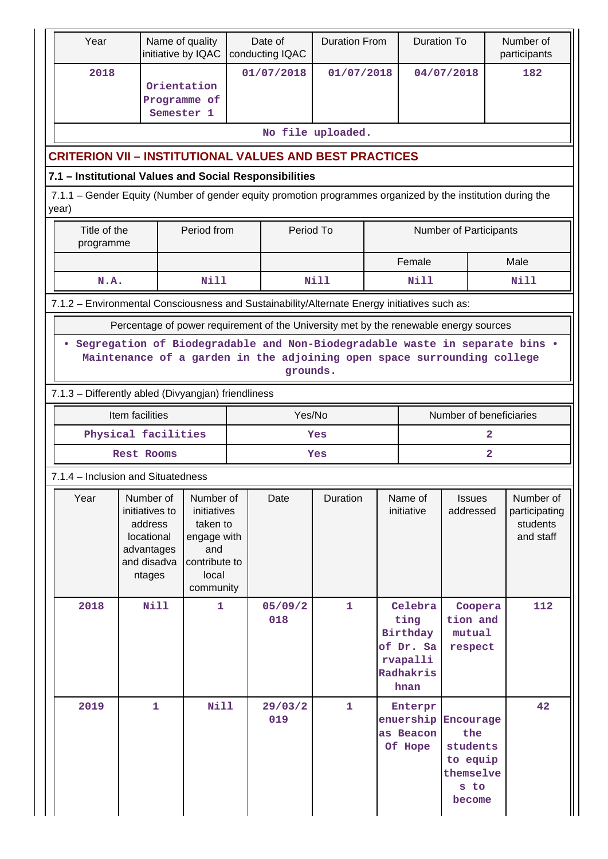|                                                                                              | Year                                                                                                                                                                 | Name of quality<br>initiative by IQAC                                                       |                                                                                                   |                | Date of<br>conducting IQAC | <b>Duration From</b>              |                                                                           | <b>Duration To</b>                           |                                                                         |                            | Number of<br>participants                           |  |
|----------------------------------------------------------------------------------------------|----------------------------------------------------------------------------------------------------------------------------------------------------------------------|---------------------------------------------------------------------------------------------|---------------------------------------------------------------------------------------------------|----------------|----------------------------|-----------------------------------|---------------------------------------------------------------------------|----------------------------------------------|-------------------------------------------------------------------------|----------------------------|-----------------------------------------------------|--|
|                                                                                              | 2018                                                                                                                                                                 | Orientation<br>Programme of<br>Semester 1                                                   |                                                                                                   |                | 01/07/2018<br>01/07/2018   |                                   |                                                                           | 04/07/2018                                   |                                                                         |                            | 182                                                 |  |
|                                                                                              |                                                                                                                                                                      |                                                                                             |                                                                                                   |                |                            | No file uploaded.                 |                                                                           |                                              |                                                                         |                            |                                                     |  |
|                                                                                              | <b>CRITERION VII - INSTITUTIONAL VALUES AND BEST PRACTICES</b>                                                                                                       |                                                                                             |                                                                                                   |                |                            |                                   |                                                                           |                                              |                                                                         |                            |                                                     |  |
|                                                                                              | 7.1 - Institutional Values and Social Responsibilities                                                                                                               |                                                                                             |                                                                                                   |                |                            |                                   |                                                                           |                                              |                                                                         |                            |                                                     |  |
|                                                                                              | 7.1.1 – Gender Equity (Number of gender equity promotion programmes organized by the institution during the<br>year)                                                 |                                                                                             |                                                                                                   |                |                            |                                   |                                                                           |                                              |                                                                         |                            |                                                     |  |
|                                                                                              | Title of the<br>programme                                                                                                                                            |                                                                                             | Period from                                                                                       |                | Period To                  |                                   |                                                                           |                                              | Number of Participants                                                  |                            |                                                     |  |
|                                                                                              |                                                                                                                                                                      |                                                                                             |                                                                                                   |                |                            |                                   |                                                                           | Female                                       |                                                                         |                            | Male                                                |  |
|                                                                                              | N.A.                                                                                                                                                                 |                                                                                             | <b>Nill</b>                                                                                       |                |                            | <b>Nill</b>                       |                                                                           | <b>Nill</b>                                  |                                                                         |                            | Nill                                                |  |
| 7.1.2 - Environmental Consciousness and Sustainability/Alternate Energy initiatives such as: |                                                                                                                                                                      |                                                                                             |                                                                                                   |                |                            |                                   |                                                                           |                                              |                                                                         |                            |                                                     |  |
|                                                                                              | Percentage of power requirement of the University met by the renewable energy sources                                                                                |                                                                                             |                                                                                                   |                |                            |                                   |                                                                           |                                              |                                                                         |                            |                                                     |  |
|                                                                                              | • Segregation of Biodegradable and Non-Biodegradable waste in separate bins .<br>Maintenance of a garden in the adjoining open space surrounding college<br>grounds. |                                                                                             |                                                                                                   |                |                            |                                   |                                                                           |                                              |                                                                         |                            |                                                     |  |
|                                                                                              | 7.1.3 - Differently abled (Divyangjan) friendliness                                                                                                                  |                                                                                             |                                                                                                   |                |                            |                                   |                                                                           |                                              |                                                                         |                            |                                                     |  |
|                                                                                              |                                                                                                                                                                      | Item facilities                                                                             |                                                                                                   |                |                            | Yes/No<br>Number of beneficiaries |                                                                           |                                              |                                                                         |                            |                                                     |  |
|                                                                                              |                                                                                                                                                                      | Physical facilities                                                                         |                                                                                                   |                |                            | Yes                               |                                                                           |                                              |                                                                         | $\overline{2}$             |                                                     |  |
|                                                                                              |                                                                                                                                                                      | <b>Rest Rooms</b>                                                                           |                                                                                                   |                |                            | Yes                               |                                                                           |                                              |                                                                         | $\overline{\mathbf{2}}$    |                                                     |  |
|                                                                                              | 7.1.4 - Inclusion and Situatedness                                                                                                                                   |                                                                                             |                                                                                                   |                |                            |                                   |                                                                           |                                              |                                                                         |                            |                                                     |  |
|                                                                                              | Year                                                                                                                                                                 | Number of<br>initiatives to<br>address<br>locational<br>advantages<br>and disadva<br>ntages | Number of<br>initiatives<br>taken to<br>engage with<br>and<br>contribute to<br>local<br>community |                | Date                       | Duration                          |                                                                           | Name of<br>initiative                        |                                                                         | <b>Issues</b><br>addressed | Number of<br>participating<br>students<br>and staff |  |
|                                                                                              | 2018<br><b>Nill</b><br>1.                                                                                                                                            |                                                                                             |                                                                                                   | 05/09/2<br>018 | $\mathbf{1}$               |                                   | Celebra<br>ting<br>Birthday<br>of Dr. Sa<br>rvapalli<br>Radhakris<br>hnan | Coopera<br>tion and<br>mutual<br>respect     |                                                                         | 112                        |                                                     |  |
|                                                                                              | 2019                                                                                                                                                                 | $\mathbf{1}$                                                                                | <b>Nill</b>                                                                                       |                | 29/03/2<br>019             | $\mathbf{1}$                      |                                                                           | Enterpr<br>enuership<br>as Beacon<br>Of Hope | Encourage<br>the<br>students<br>to equip<br>themselve<br>s to<br>become |                            | 42                                                  |  |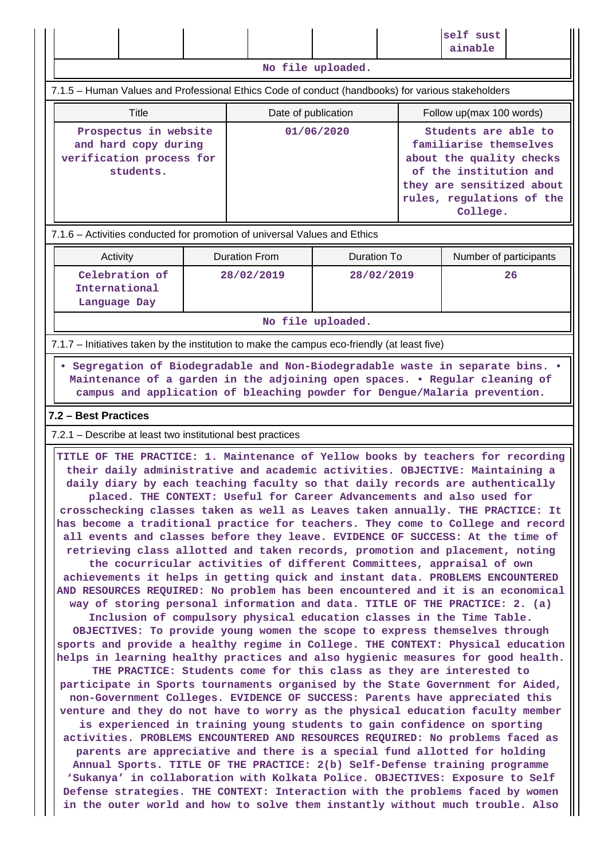|                                                                                                                                                                                                                                                                                                                                                                                                                                                                                                                                                                                                                                                                                                                                                                                                                                                                                                                                                                                                                                                                                                                                                                                                                                                                                                                                                                                                                                                                                                                                                                                                                                                                                                                                                                                                                                                                                                                                                                                                                                                            |  |                      |                    |  | self sust<br>ainable                                                                                                                                                       |    |  |  |  |  |
|------------------------------------------------------------------------------------------------------------------------------------------------------------------------------------------------------------------------------------------------------------------------------------------------------------------------------------------------------------------------------------------------------------------------------------------------------------------------------------------------------------------------------------------------------------------------------------------------------------------------------------------------------------------------------------------------------------------------------------------------------------------------------------------------------------------------------------------------------------------------------------------------------------------------------------------------------------------------------------------------------------------------------------------------------------------------------------------------------------------------------------------------------------------------------------------------------------------------------------------------------------------------------------------------------------------------------------------------------------------------------------------------------------------------------------------------------------------------------------------------------------------------------------------------------------------------------------------------------------------------------------------------------------------------------------------------------------------------------------------------------------------------------------------------------------------------------------------------------------------------------------------------------------------------------------------------------------------------------------------------------------------------------------------------------------|--|----------------------|--------------------|--|----------------------------------------------------------------------------------------------------------------------------------------------------------------------------|----|--|--|--|--|
|                                                                                                                                                                                                                                                                                                                                                                                                                                                                                                                                                                                                                                                                                                                                                                                                                                                                                                                                                                                                                                                                                                                                                                                                                                                                                                                                                                                                                                                                                                                                                                                                                                                                                                                                                                                                                                                                                                                                                                                                                                                            |  |                      | No file uploaded.  |  |                                                                                                                                                                            |    |  |  |  |  |
| 7.1.5 - Human Values and Professional Ethics Code of conduct (handbooks) for various stakeholders                                                                                                                                                                                                                                                                                                                                                                                                                                                                                                                                                                                                                                                                                                                                                                                                                                                                                                                                                                                                                                                                                                                                                                                                                                                                                                                                                                                                                                                                                                                                                                                                                                                                                                                                                                                                                                                                                                                                                          |  |                      |                    |  |                                                                                                                                                                            |    |  |  |  |  |
| <b>Title</b>                                                                                                                                                                                                                                                                                                                                                                                                                                                                                                                                                                                                                                                                                                                                                                                                                                                                                                                                                                                                                                                                                                                                                                                                                                                                                                                                                                                                                                                                                                                                                                                                                                                                                                                                                                                                                                                                                                                                                                                                                                               |  | Date of publication  |                    |  | Follow up(max 100 words)                                                                                                                                                   |    |  |  |  |  |
| Prospectus in website<br>and hard copy during<br>verification process for<br>students.                                                                                                                                                                                                                                                                                                                                                                                                                                                                                                                                                                                                                                                                                                                                                                                                                                                                                                                                                                                                                                                                                                                                                                                                                                                                                                                                                                                                                                                                                                                                                                                                                                                                                                                                                                                                                                                                                                                                                                     |  |                      | 01/06/2020         |  | Students are able to<br>familiarise themselves<br>about the quality checks<br>of the institution and<br>they are sensitized about<br>rules, regulations of the<br>College. |    |  |  |  |  |
| 7.1.6 - Activities conducted for promotion of universal Values and Ethics                                                                                                                                                                                                                                                                                                                                                                                                                                                                                                                                                                                                                                                                                                                                                                                                                                                                                                                                                                                                                                                                                                                                                                                                                                                                                                                                                                                                                                                                                                                                                                                                                                                                                                                                                                                                                                                                                                                                                                                  |  |                      |                    |  |                                                                                                                                                                            |    |  |  |  |  |
| Activity                                                                                                                                                                                                                                                                                                                                                                                                                                                                                                                                                                                                                                                                                                                                                                                                                                                                                                                                                                                                                                                                                                                                                                                                                                                                                                                                                                                                                                                                                                                                                                                                                                                                                                                                                                                                                                                                                                                                                                                                                                                   |  | <b>Duration From</b> | <b>Duration To</b> |  | Number of participants                                                                                                                                                     |    |  |  |  |  |
| Celebration of<br>International<br>Language Day                                                                                                                                                                                                                                                                                                                                                                                                                                                                                                                                                                                                                                                                                                                                                                                                                                                                                                                                                                                                                                                                                                                                                                                                                                                                                                                                                                                                                                                                                                                                                                                                                                                                                                                                                                                                                                                                                                                                                                                                            |  | 28/02/2019           | 28/02/2019         |  |                                                                                                                                                                            | 26 |  |  |  |  |
|                                                                                                                                                                                                                                                                                                                                                                                                                                                                                                                                                                                                                                                                                                                                                                                                                                                                                                                                                                                                                                                                                                                                                                                                                                                                                                                                                                                                                                                                                                                                                                                                                                                                                                                                                                                                                                                                                                                                                                                                                                                            |  |                      | No file uploaded.  |  |                                                                                                                                                                            |    |  |  |  |  |
| 7.1.7 – Initiatives taken by the institution to make the campus eco-friendly (at least five)                                                                                                                                                                                                                                                                                                                                                                                                                                                                                                                                                                                                                                                                                                                                                                                                                                                                                                                                                                                                                                                                                                                                                                                                                                                                                                                                                                                                                                                                                                                                                                                                                                                                                                                                                                                                                                                                                                                                                               |  |                      |                    |  |                                                                                                                                                                            |    |  |  |  |  |
| Maintenance of a garden in the adjoining open spaces. . Regular cleaning of<br>campus and application of bleaching powder for Dengue/Malaria prevention.<br>7.2 - Best Practices<br>7.2.1 – Describe at least two institutional best practices                                                                                                                                                                                                                                                                                                                                                                                                                                                                                                                                                                                                                                                                                                                                                                                                                                                                                                                                                                                                                                                                                                                                                                                                                                                                                                                                                                                                                                                                                                                                                                                                                                                                                                                                                                                                             |  |                      |                    |  |                                                                                                                                                                            |    |  |  |  |  |
| TITLE OF THE PRACTICE: 1. Maintenance of Yellow books by teachers for recording<br>their daily administrative and academic activities. OBJECTIVE: Maintaining a<br>daily diary by each teaching faculty so that daily records are authentically<br>placed. THE CONTEXT: Useful for Career Advancements and also used for<br>crosschecking classes taken as well as Leaves taken annually. THE PRACTICE: It<br>has become a traditional practice for teachers. They come to College and record<br>all events and classes before they leave. EVIDENCE OF SUCCESS: At the time of<br>retrieving class allotted and taken records, promotion and placement, noting<br>the cocurricular activities of different Committees, appraisal of own<br>achievements it helps in getting quick and instant data. PROBLEMS ENCOUNTERED<br>AND RESOURCES REQUIRED: No problem has been encountered and it is an economical<br>way of storing personal information and data. TITLE OF THE PRACTICE: 2. (a)<br>Inclusion of compulsory physical education classes in the Time Table.<br>OBJECTIVES: To provide young women the scope to express themselves through<br>sports and provide a healthy regime in College. THE CONTEXT: Physical education<br>helps in learning healthy practices and also hygienic measures for good health.<br>THE PRACTICE: Students come for this class as they are interested to<br>participate in Sports tournaments organised by the State Government for Aided,<br>non-Government Colleges. EVIDENCE OF SUCCESS: Parents have appreciated this<br>venture and they do not have to worry as the physical education faculty member<br>is experienced in training young students to gain confidence on sporting<br>activities. PROBLEMS ENCOUNTERED AND RESOURCES REQUIRED: No problems faced as<br>parents are appreciative and there is a special fund allotted for holding<br>Annual Sports. TITLE OF THE PRACTICE: 2(b) Self-Defense training programme<br>'Sukanya' in collaboration with Kolkata Police. OBJECTIVES: Exposure to Self |  |                      |                    |  |                                                                                                                                                                            |    |  |  |  |  |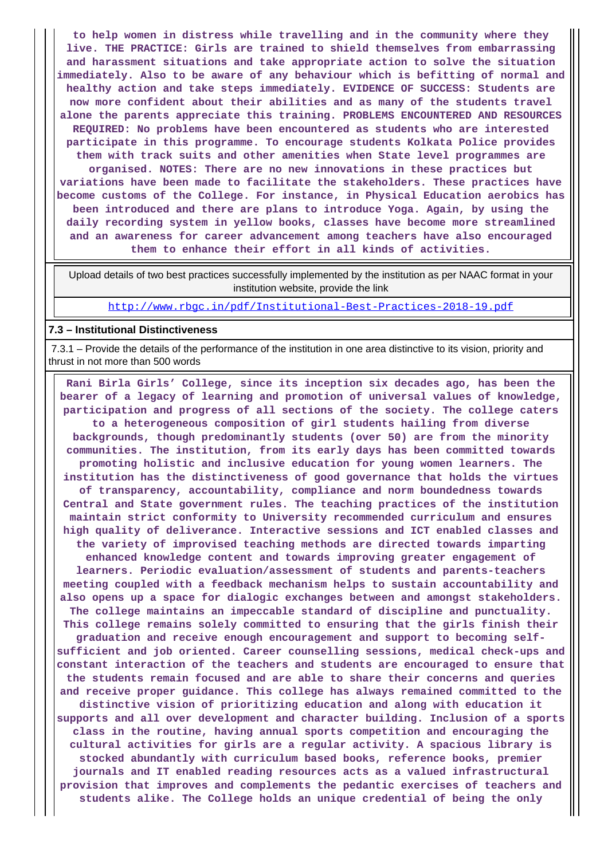**to help women in distress while travelling and in the community where they live. THE PRACTICE: Girls are trained to shield themselves from embarrassing and harassment situations and take appropriate action to solve the situation immediately. Also to be aware of any behaviour which is befitting of normal and healthy action and take steps immediately. EVIDENCE OF SUCCESS: Students are now more confident about their abilities and as many of the students travel alone the parents appreciate this training. PROBLEMS ENCOUNTERED AND RESOURCES REQUIRED: No problems have been encountered as students who are interested participate in this programme. To encourage students Kolkata Police provides them with track suits and other amenities when State level programmes are organised. NOTES: There are no new innovations in these practices but variations have been made to facilitate the stakeholders. These practices have become customs of the College. For instance, in Physical Education aerobics has been introduced and there are plans to introduce Yoga. Again, by using the daily recording system in yellow books, classes have become more streamlined and an awareness for career advancement among teachers have also encouraged them to enhance their effort in all kinds of activities.**

 Upload details of two best practices successfully implemented by the institution as per NAAC format in your institution website, provide the link

<http://www.rbgc.in/pdf/Institutional-Best-Practices-2018-19.pdf>

#### **7.3 – Institutional Distinctiveness**

 7.3.1 – Provide the details of the performance of the institution in one area distinctive to its vision, priority and thrust in not more than 500 words

 **Rani Birla Girls' College, since its inception six decades ago, has been the bearer of a legacy of learning and promotion of universal values of knowledge, participation and progress of all sections of the society. The college caters to a heterogeneous composition of girl students hailing from diverse backgrounds, though predominantly students (over 50) are from the minority communities. The institution, from its early days has been committed towards promoting holistic and inclusive education for young women learners. The institution has the distinctiveness of good governance that holds the virtues of transparency, accountability, compliance and norm boundedness towards Central and State government rules. The teaching practices of the institution maintain strict conformity to University recommended curriculum and ensures high quality of deliverance. Interactive sessions and ICT enabled classes and the variety of improvised teaching methods are directed towards imparting enhanced knowledge content and towards improving greater engagement of learners. Periodic evaluation/assessment of students and parents-teachers meeting coupled with a feedback mechanism helps to sustain accountability and also opens up a space for dialogic exchanges between and amongst stakeholders. The college maintains an impeccable standard of discipline and punctuality. This college remains solely committed to ensuring that the girls finish their graduation and receive enough encouragement and support to becoming selfsufficient and job oriented. Career counselling sessions, medical check-ups and constant interaction of the teachers and students are encouraged to ensure that the students remain focused and are able to share their concerns and queries and receive proper guidance. This college has always remained committed to the distinctive vision of prioritizing education and along with education it supports and all over development and character building. Inclusion of a sports class in the routine, having annual sports competition and encouraging the cultural activities for girls are a regular activity. A spacious library is stocked abundantly with curriculum based books, reference books, premier journals and IT enabled reading resources acts as a valued infrastructural provision that improves and complements the pedantic exercises of teachers and students alike. The College holds an unique credential of being the only**